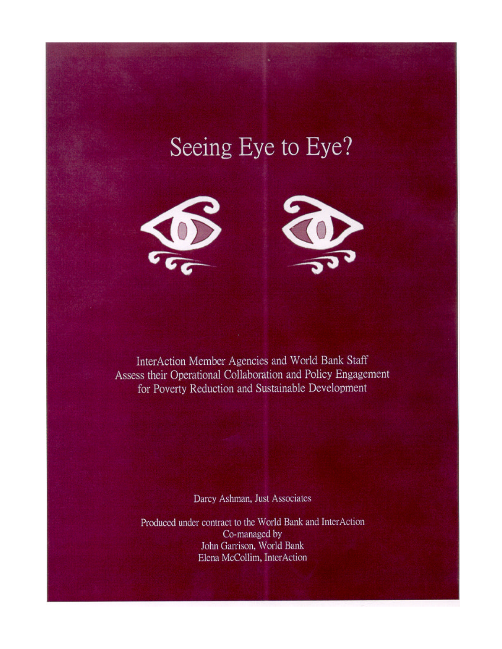# Seeing Eye to Eye?





InterAction Member Agencies and World Bank Staff Assess their Operational Collaboration and Policy Engagement for Poverty Reduction and Sustainable Development

Darcy Ashman, Just Associates

Produced under contract to the World Bank and InterAction Co-managed by John Garrison, World Bank Elena McCollim, InterAction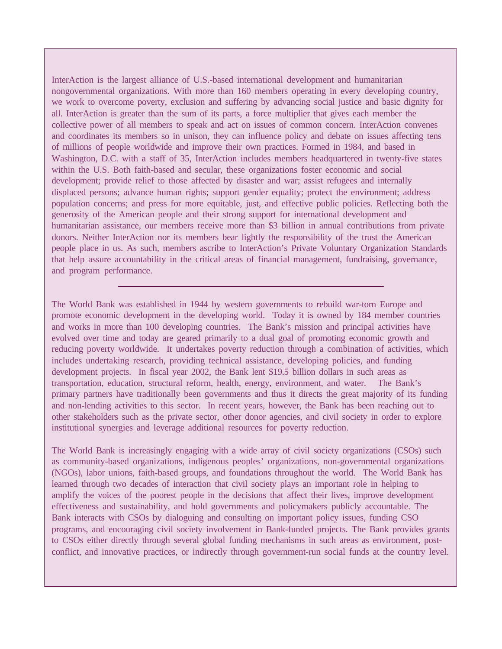InterAction is the largest alliance of U.S.-based international development and humanitarian nongovernmental organizations. With more than 160 members operating in every developing country, we work to overcome poverty, exclusion and suffering by advancing social justice and basic dignity for all. InterAction is greater than the sum of its parts, a force multiplier that gives each member the collective power of all members to speak and act on issues of common concern. InterAction convenes and coordinates its members so in unison, they can influence policy and debate on issues affecting tens of millions of people worldwide and improve their own practices. Formed in 1984, and based in Washington, D.C. with a staff of 35, InterAction includes members headquartered in twenty-five states within the U.S. Both faith-based and secular, these organizations foster economic and social development; provide relief to those affected by disaster and war; assist refugees and internally displaced persons; advance human rights; support gender equality; protect the environment; address population concerns; and press for more equitable, just, and effective public policies. Reflecting both the generosity of the American people and their strong support for international development and humanitarian assistance, our members receive more than \$3 billion in annual contributions from private donors. Neither InterAction nor its members bear lightly the responsibility of the trust the American people place in us. As such, members ascribe to InterAction's Private Voluntary Organization Standards that help assure accountability in the critical areas of financial management, fundraising, governance, and program performance.

The World Bank was established in 1944 by western governments to rebuild war-torn Europe and promote economic development in the developing world. Today it is owned by 184 member countries and works in more than 100 developing countries. The Bank's mission and principal activities have evolved over time and today are geared primarily to a dual goal of promoting economic growth and reducing poverty worldwide. It undertakes poverty reduction through a combination of activities, which includes undertaking research, providing technical assistance, developing policies, and funding development projects. In fiscal year 2002, the Bank lent \$19.5 billion dollars in such areas as transportation, education, structural reform, health, energy, environment, and water. The Bank's primary partners have traditionally been governments and thus it directs the great majority of its funding and non-lending activities to this sector. In recent years, however, the Bank has been reaching out to other stakeholders such as the private sector, other donor agencies, and civil society in order to explore institutional synergies and leverage additional resources for poverty reduction.

The World Bank is increasingly engaging with a wide array of civil society organizations (CSOs) such as community-based organizations, indigenous peoples' organizations, non-governmental organizations (NGOs), labor unions, faith-based groups, and foundations throughout the world. The World Bank has learned through two decades of interaction that civil society plays an important role in helping to amplify the voices of the poorest people in the decisions that affect their lives, improve development effectiveness and sustainability, and hold governments and policymakers publicly accountable. The Bank interacts with CSOs by dialoguing and consulting on important policy issues, funding CSO programs, and encouraging civil society involvement in Bank-funded projects. The Bank provides grants to CSOs either directly through several global funding mechanisms in such areas as environment, postconflict, and innovative practices, or indirectly through government-run social funds at the country level.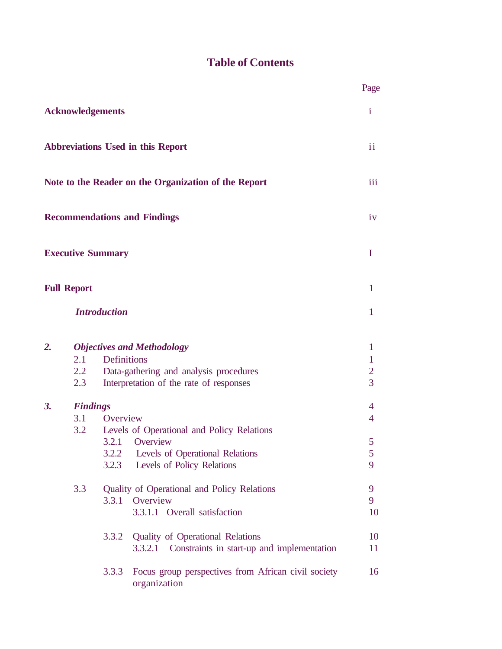## **Table of Contents**

|           |                    |                                                                                                                                                                                                                                                                                                                                                                                                                                                                                                                                                                                                     | Page          |
|-----------|--------------------|-----------------------------------------------------------------------------------------------------------------------------------------------------------------------------------------------------------------------------------------------------------------------------------------------------------------------------------------------------------------------------------------------------------------------------------------------------------------------------------------------------------------------------------------------------------------------------------------------------|---------------|
|           |                    |                                                                                                                                                                                                                                                                                                                                                                                                                                                                                                                                                                                                     | $\mathbf{i}$  |
|           |                    |                                                                                                                                                                                                                                                                                                                                                                                                                                                                                                                                                                                                     | $\mathbf{ii}$ |
|           |                    |                                                                                                                                                                                                                                                                                                                                                                                                                                                                                                                                                                                                     | iii           |
|           |                    | <b>Acknowledgements</b><br><b>Abbreviations Used in this Report</b><br>Note to the Reader on the Organization of the Report<br><b>Recommendations and Findings</b><br>iv<br>$\mathbf I$<br><b>Executive Summary</b><br>1<br><b>Introduction</b><br>$\mathbf{1}$<br><b>Objectives and Methodology</b><br>$\mathbf{1}$<br><b>Definitions</b><br>1<br>Data-gathering and analysis procedures<br>$\overline{2}$<br>3<br>Interpretation of the rate of responses<br><b>Findings</b><br>$\overline{4}$<br>Overview<br>$\overline{4}$<br>Levels of Operational and Policy Relations<br>3.2.1 Overview<br>5 |               |
|           |                    |                                                                                                                                                                                                                                                                                                                                                                                                                                                                                                                                                                                                     |               |
|           | <b>Full Report</b> |                                                                                                                                                                                                                                                                                                                                                                                                                                                                                                                                                                                                     |               |
|           |                    |                                                                                                                                                                                                                                                                                                                                                                                                                                                                                                                                                                                                     |               |
| 2.        | 2.1<br>2.2<br>2.3  |                                                                                                                                                                                                                                                                                                                                                                                                                                                                                                                                                                                                     |               |
| <b>3.</b> | 3.1                |                                                                                                                                                                                                                                                                                                                                                                                                                                                                                                                                                                                                     |               |
|           | 3.2                | Levels of Operational Relations<br>3.2.2<br>Levels of Policy Relations<br>3.2.3                                                                                                                                                                                                                                                                                                                                                                                                                                                                                                                     | 5<br>9        |
|           | 3.3                | Quality of Operational and Policy Relations<br>Overview<br>3.3.1<br>3.3.1.1 Overall satisfaction                                                                                                                                                                                                                                                                                                                                                                                                                                                                                                    | 9<br>9<br>10  |
|           |                    | 3.3.2<br><b>Quality of Operational Relations</b><br>Constraints in start-up and implementation<br>3.3.2.1                                                                                                                                                                                                                                                                                                                                                                                                                                                                                           | 10<br>11      |
|           |                    | Focus group perspectives from African civil society<br>3.3.3<br>organization                                                                                                                                                                                                                                                                                                                                                                                                                                                                                                                        | 16            |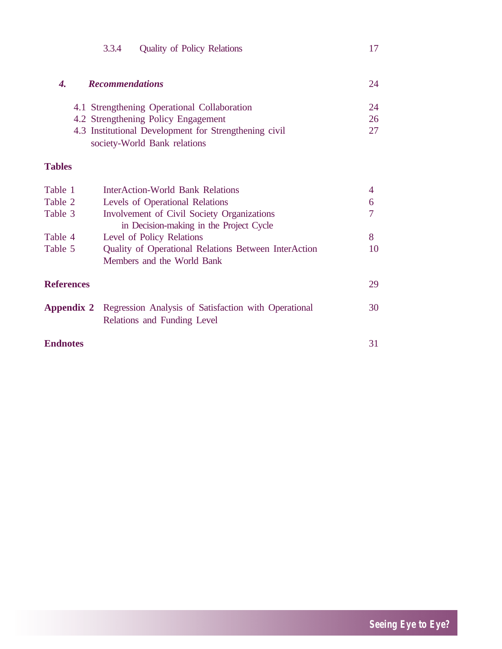| 4. | <b>Recommendations</b>                                | 24 |
|----|-------------------------------------------------------|----|
|    | 4.1 Strengthening Operational Collaboration           | 24 |
|    | 4.2 Strengthening Policy Engagement                   | 26 |
|    | 4.3 Institutional Development for Strengthening civil | 27 |
|    | society-World Bank relations                          |    |

3.3.4 Quality of Policy Relations 17

## **Tables**

| Table 1           | <b>InterAction-World Bank Relations</b>                                                               |    |
|-------------------|-------------------------------------------------------------------------------------------------------|----|
| Table 2           | Levels of Operational Relations                                                                       | 6  |
| Table 3           | Involvement of Civil Society Organizations                                                            | 7  |
| Table 4           | in Decision-making in the Project Cycle<br>Level of Policy Relations                                  | 8  |
| Table 5           | Quality of Operational Relations Between InterAction<br>Members and the World Bank                    | 10 |
| <b>References</b> |                                                                                                       | 29 |
|                   | <b>Appendix 2</b> Regression Analysis of Satisfaction with Operational<br>Relations and Funding Level | 30 |
| <b>Endnotes</b>   |                                                                                                       | 31 |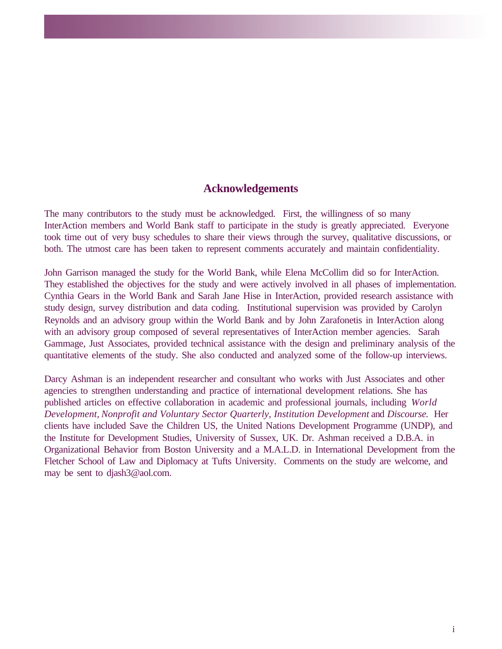## **Acknowledgements**

The many contributors to the study must be acknowledged. First, the willingness of so many InterAction members and World Bank staff to participate in the study is greatly appreciated. Everyone took time out of very busy schedules to share their views through the survey, qualitative discussions, or both. The utmost care has been taken to represent comments accurately and maintain confidentiality.

John Garrison managed the study for the World Bank, while Elena McCollim did so for InterAction. They established the objectives for the study and were actively involved in all phases of implementation. Cynthia Gears in the World Bank and Sarah Jane Hise in InterAction, provided research assistance with study design, survey distribution and data coding. Institutional supervision was provided by Carolyn Reynolds and an advisory group within the World Bank and by John Zarafonetis in InterAction along with an advisory group composed of several representatives of InterAction member agencies. Sarah Gammage, Just Associates, provided technical assistance with the design and preliminary analysis of the quantitative elements of the study. She also conducted and analyzed some of the follow-up interviews.

Darcy Ashman is an independent researcher and consultant who works with Just Associates and other agencies to strengthen understanding and practice of international development relations. She has published articles on effective collaboration in academic and professional journals, including *World Development, Nonprofit and Voluntary Sector Quarterly, Institution Development* and *Discourse.* Her clients have included Save the Children US, the United Nations Development Programme (UNDP), and the Institute for Development Studies, University of Sussex, UK. Dr. Ashman received a D.B.A. in Organizational Behavior from Boston University and a M.A.L.D. in International Development from the Fletcher School of Law and Diplomacy at Tufts University. Comments on the study are welcome, and may be sent to djash3@aol.com.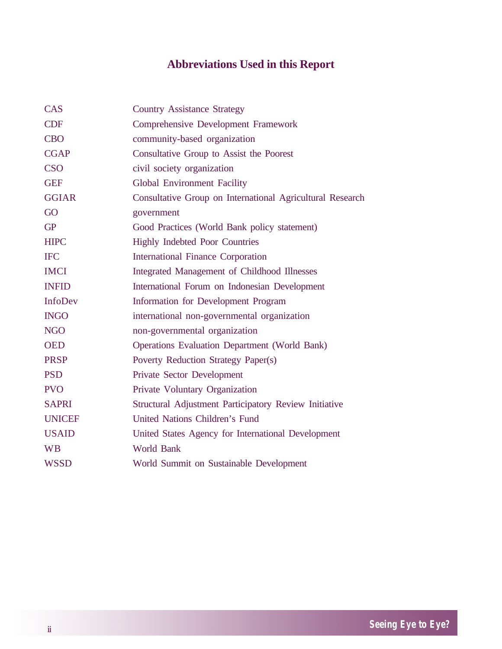# **Abbreviations Used in this Report**

| <b>CAS</b>     | <b>Country Assistance Strategy</b>                        |
|----------------|-----------------------------------------------------------|
| <b>CDF</b>     | <b>Comprehensive Development Framework</b>                |
| <b>CBO</b>     | community-based organization                              |
| <b>CGAP</b>    | Consultative Group to Assist the Poorest                  |
| <b>CSO</b>     | civil society organization                                |
| <b>GEF</b>     | Global Environment Facility                               |
| <b>GGIAR</b>   | Consultative Group on International Agricultural Research |
| GO             | government                                                |
| <b>GP</b>      | Good Practices (World Bank policy statement)              |
| <b>HIPC</b>    | <b>Highly Indebted Poor Countries</b>                     |
| <b>IFC</b>     | <b>International Finance Corporation</b>                  |
| <b>IMCI</b>    | Integrated Management of Childhood Illnesses              |
| <b>INFID</b>   | International Forum on Indonesian Development             |
| <b>InfoDev</b> | Information for Development Program                       |
| <b>INGO</b>    | international non-governmental organization               |
| <b>NGO</b>     | non-governmental organization                             |
| <b>OED</b>     | <b>Operations Evaluation Department (World Bank)</b>      |
| <b>PRSP</b>    | Poverty Reduction Strategy Paper(s)                       |
| <b>PSD</b>     | Private Sector Development                                |
| <b>PVO</b>     | Private Voluntary Organization                            |
| <b>SAPRI</b>   | Structural Adjustment Participatory Review Initiative     |
| <b>UNICEF</b>  | United Nations Children's Fund                            |
| <b>USAID</b>   | United States Agency for International Development        |
| <b>WB</b>      | <b>World Bank</b>                                         |
| <b>WSSD</b>    | World Summit on Sustainable Development                   |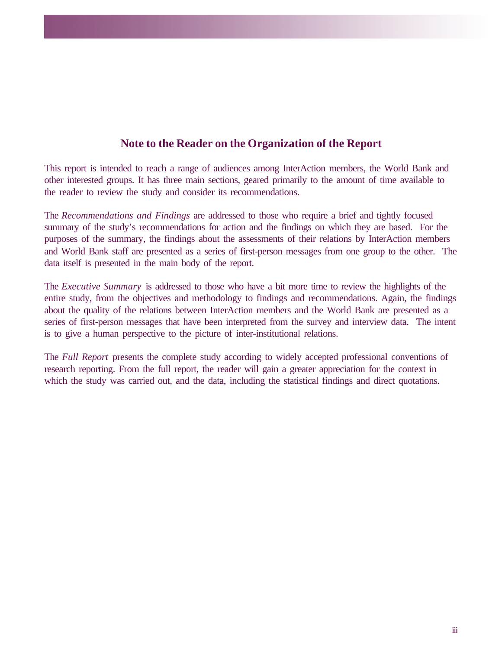## **Note to the Reader on the Organization of the Report**

This report is intended to reach a range of audiences among InterAction members, the World Bank and other interested groups. It has three main sections, geared primarily to the amount of time available to the reader to review the study and consider its recommendations.

The *Recommendations and Findings* are addressed to those who require a brief and tightly focused summary of the study's recommendations for action and the findings on which they are based. For the purposes of the summary, the findings about the assessments of their relations by InterAction members and World Bank staff are presented as a series of first-person messages from one group to the other. The data itself is presented in the main body of the report.

The *Executive Summary* is addressed to those who have a bit more time to review the highlights of the entire study, from the objectives and methodology to findings and recommendations. Again, the findings about the quality of the relations between InterAction members and the World Bank are presented as a series of first-person messages that have been interpreted from the survey and interview data. The intent is to give a human perspective to the picture of inter-institutional relations.

The *Full Report* presents the complete study according to widely accepted professional conventions of research reporting. From the full report, the reader will gain a greater appreciation for the context in which the study was carried out, and the data, including the statistical findings and direct quotations.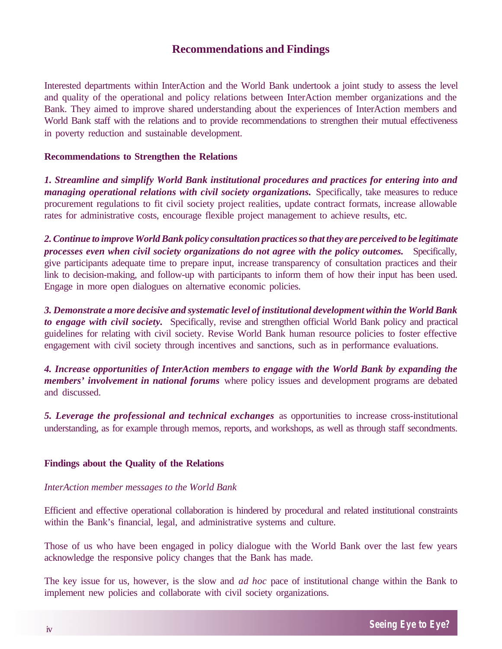## **Recommendations and Findings**

Interested departments within InterAction and the World Bank undertook a joint study to assess the level and quality of the operational and policy relations between InterAction member organizations and the Bank. They aimed to improve shared understanding about the experiences of InterAction members and World Bank staff with the relations and to provide recommendations to strengthen their mutual effectiveness in poverty reduction and sustainable development.

#### **Recommendations to Strengthen the Relations**

*1. Streamline and simplify World Bank institutional procedures and practices for entering into and managing operational relations with civil society organizations.* Specifically, take measures to reduce procurement regulations to fit civil society project realities, update contract formats, increase allowable rates for administrative costs, encourage flexible project management to achieve results, etc.

*2. Continue to improve World Bank policy consultation practices so that they are perceived to be legitimate processes even when civil society organizations do not agree with the policy outcomes.* Specifically, give participants adequate time to prepare input, increase transparency of consultation practices and their link to decision-making, and follow-up with participants to inform them of how their input has been used. Engage in more open dialogues on alternative economic policies.

*3. Demonstrate a more decisive and systematic level of institutional development within the World Bank to engage with civil society.* Specifically, revise and strengthen official World Bank policy and practical guidelines for relating with civil society. Revise World Bank human resource policies to foster effective engagement with civil society through incentives and sanctions, such as in performance evaluations.

*4. Increase opportunities of InterAction members to engage with the World Bank by expanding the members' involvement in national forums* where policy issues and development programs are debated and discussed.

*5. Leverage the professional and technical exchanges* as opportunities to increase cross-institutional understanding, as for example through memos, reports, and workshops, as well as through staff secondments.

#### **Findings about the Quality of the Relations**

#### *InterAction member messages to the World Bank*

Efficient and effective operational collaboration is hindered by procedural and related institutional constraints within the Bank's financial, legal, and administrative systems and culture.

Those of us who have been engaged in policy dialogue with the World Bank over the last few years acknowledge the responsive policy changes that the Bank has made.

The key issue for us, however, is the slow and *ad hoc* pace of institutional change within the Bank to implement new policies and collaborate with civil society organizations.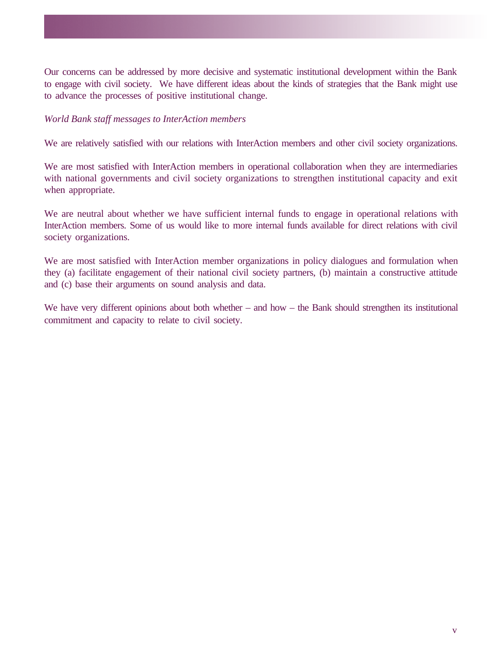Our concerns can be addressed by more decisive and systematic institutional development within the Bank to engage with civil society. We have different ideas about the kinds of strategies that the Bank might use to advance the processes of positive institutional change.

#### *World Bank staff messages to InterAction members*

We are relatively satisfied with our relations with InterAction members and other civil society organizations.

We are most satisfied with InterAction members in operational collaboration when they are intermediaries with national governments and civil society organizations to strengthen institutional capacity and exit when appropriate.

We are neutral about whether we have sufficient internal funds to engage in operational relations with InterAction members. Some of us would like to more internal funds available for direct relations with civil society organizations.

We are most satisfied with InterAction member organizations in policy dialogues and formulation when they (a) facilitate engagement of their national civil society partners, (b) maintain a constructive attitude and (c) base their arguments on sound analysis and data.

We have very different opinions about both whether – and how – the Bank should strengthen its institutional commitment and capacity to relate to civil society.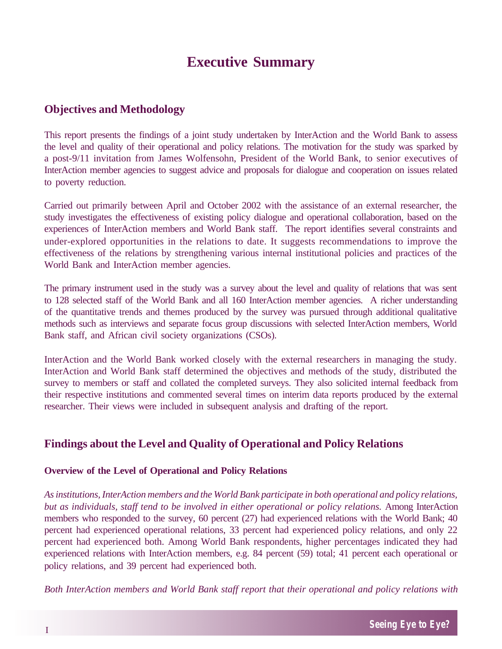# **Executive Summary**

## **Objectives and Methodology**

This report presents the findings of a joint study undertaken by InterAction and the World Bank to assess the level and quality of their operational and policy relations. The motivation for the study was sparked by a post-9/11 invitation from James Wolfensohn, President of the World Bank, to senior executives of InterAction member agencies to suggest advice and proposals for dialogue and cooperation on issues related to poverty reduction.

Carried out primarily between April and October 2002 with the assistance of an external researcher, the study investigates the effectiveness of existing policy dialogue and operational collaboration, based on the experiences of InterAction members and World Bank staff. The report identifies several constraints and under-explored opportunities in the relations to date. It suggests recommendations to improve the effectiveness of the relations by strengthening various internal institutional policies and practices of the World Bank and InterAction member agencies.

The primary instrument used in the study was a survey about the level and quality of relations that was sent to 128 selected staff of the World Bank and all 160 InterAction member agencies. A richer understanding of the quantitative trends and themes produced by the survey was pursued through additional qualitative methods such as interviews and separate focus group discussions with selected InterAction members, World Bank staff, and African civil society organizations (CSOs).

InterAction and the World Bank worked closely with the external researchers in managing the study. InterAction and World Bank staff determined the objectives and methods of the study, distributed the survey to members or staff and collated the completed surveys. They also solicited internal feedback from their respective institutions and commented several times on interim data reports produced by the external researcher. Their views were included in subsequent analysis and drafting of the report.

## **Findings about the Level and Quality of Operational and Policy Relations**

#### **Overview of the Level of Operational and Policy Relations**

*As institutions, InterAction members and the World Bank participate in both operational and policy relations, but as individuals, staff tend to be involved in either operational or policy relations.* Among InterAction members who responded to the survey, 60 percent (27) had experienced relations with the World Bank; 40 percent had experienced operational relations, 33 percent had experienced policy relations, and only 22 percent had experienced both. Among World Bank respondents, higher percentages indicated they had experienced relations with InterAction members, e.g. 84 percent (59) total; 41 percent each operational or policy relations, and 39 percent had experienced both.

*Both InterAction members and World Bank staff report that their operational and policy relations with*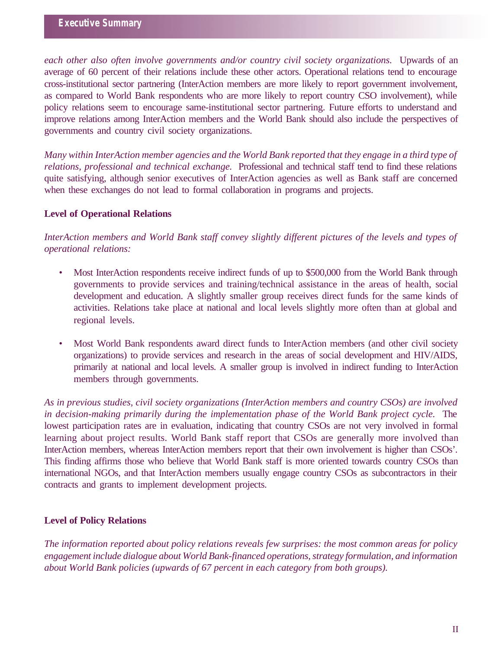*each other also often involve governments and/or country civil society organizations.* Upwards of an average of 60 percent of their relations include these other actors. Operational relations tend to encourage cross-institutional sector partnering (InterAction members are more likely to report government involvement, as compared to World Bank respondents who are more likely to report country CSO involvement), while policy relations seem to encourage same-institutional sector partnering. Future efforts to understand and improve relations among InterAction members and the World Bank should also include the perspectives of governments and country civil society organizations.

*Many within InterAction member agencies and the World Bank reported that they engage in a third type of relations, professional and technical exchange.* Professional and technical staff tend to find these relations quite satisfying, although senior executives of InterAction agencies as well as Bank staff are concerned when these exchanges do not lead to formal collaboration in programs and projects.

#### **Level of Operational Relations**

*InterAction members and World Bank staff convey slightly different pictures of the levels and types of operational relations:*

- Most InterAction respondents receive indirect funds of up to \$500,000 from the World Bank through governments to provide services and training/technical assistance in the areas of health, social development and education. A slightly smaller group receives direct funds for the same kinds of activities. Relations take place at national and local levels slightly more often than at global and regional levels.
- Most World Bank respondents award direct funds to InterAction members (and other civil society organizations) to provide services and research in the areas of social development and HIV/AIDS, primarily at national and local levels. A smaller group is involved in indirect funding to InterAction members through governments.

*As in previous studies, civil society organizations (InterAction members and country CSOs) are involved in decision-making primarily during the implementation phase of the World Bank project cycle.* The lowest participation rates are in evaluation, indicating that country CSOs are not very involved in formal learning about project results. World Bank staff report that CSOs are generally more involved than InterAction members, whereas InterAction members report that their own involvement is higher than CSOs'. This finding affirms those who believe that World Bank staff is more oriented towards country CSOs than international NGOs, and that InterAction members usually engage country CSOs as subcontractors in their contracts and grants to implement development projects.

#### **Level of Policy Relations**

*The information reported about policy relations reveals few surprises: the most common areas for policy engagement include dialogue about World Bank-financed operations, strategy formulation, and information about World Bank policies (upwards of 67 percent in each category from both groups).*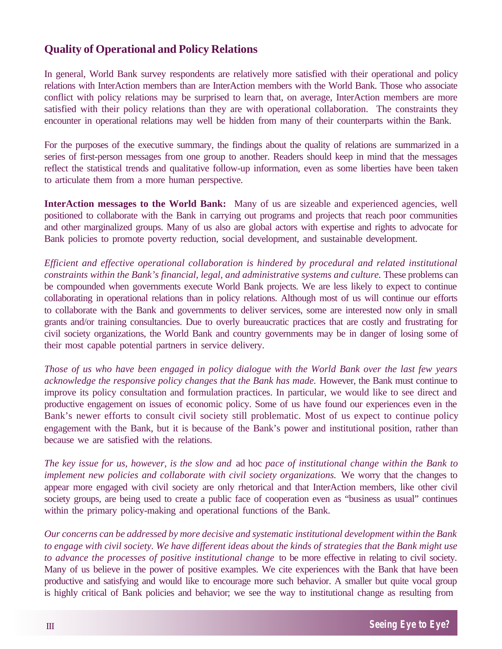## **Quality of Operational and Policy Relations**

In general, World Bank survey respondents are relatively more satisfied with their operational and policy relations with InterAction members than are InterAction members with the World Bank. Those who associate conflict with policy relations may be surprised to learn that, on average, InterAction members are more satisfied with their policy relations than they are with operational collaboration. The constraints they encounter in operational relations may well be hidden from many of their counterparts within the Bank.

For the purposes of the executive summary, the findings about the quality of relations are summarized in a series of first-person messages from one group to another. Readers should keep in mind that the messages reflect the statistical trends and qualitative follow-up information, even as some liberties have been taken to articulate them from a more human perspective.

**InterAction messages to the World Bank:** Many of us are sizeable and experienced agencies, well positioned to collaborate with the Bank in carrying out programs and projects that reach poor communities and other marginalized groups. Many of us also are global actors with expertise and rights to advocate for Bank policies to promote poverty reduction, social development, and sustainable development.

*Efficient and effective operational collaboration is hindered by procedural and related institutional constraints within the Bank's financial, legal, and administrative systems and culture.* These problems can be compounded when governments execute World Bank projects. We are less likely to expect to continue collaborating in operational relations than in policy relations. Although most of us will continue our efforts to collaborate with the Bank and governments to deliver services, some are interested now only in small grants and/or training consultancies. Due to overly bureaucratic practices that are costly and frustrating for civil society organizations, the World Bank and country governments may be in danger of losing some of their most capable potential partners in service delivery.

*Those of us who have been engaged in policy dialogue with the World Bank over the last few years acknowledge the responsive policy changes that the Bank has made.* However, the Bank must continue to improve its policy consultation and formulation practices. In particular, we would like to see direct and productive engagement on issues of economic policy. Some of us have found our experiences even in the Bank's newer efforts to consult civil society still problematic. Most of us expect to continue policy engagement with the Bank, but it is because of the Bank's power and institutional position, rather than because we are satisfied with the relations.

*The key issue for us, however, is the slow and* ad hoc *pace of institutional change within the Bank to implement new policies and collaborate with civil society organizations.* We worry that the changes to appear more engaged with civil society are only rhetorical and that InterAction members, like other civil society groups, are being used to create a public face of cooperation even as "business as usual" continues within the primary policy-making and operational functions of the Bank.

*Our concerns can be addressed by more decisive and systematic institutional development within the Bank to engage with civil society. We have different ideas about the kinds of strategies that the Bank might use to advance the processes of positive institutional change* to be more effective in relating to civil society. Many of us believe in the power of positive examples. We cite experiences with the Bank that have been productive and satisfying and would like to encourage more such behavior. A smaller but quite vocal group is highly critical of Bank policies and behavior; we see the way to institutional change as resulting from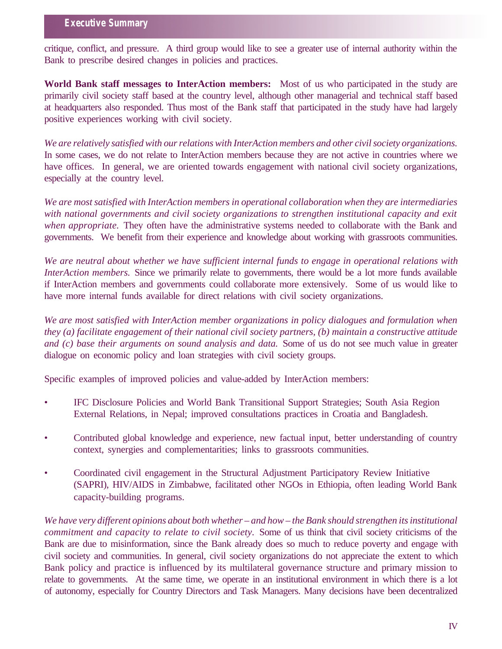critique, conflict, and pressure. A third group would like to see a greater use of internal authority within the Bank to prescribe desired changes in policies and practices.

**World Bank staff messages to InterAction members:** Most of us who participated in the study are primarily civil society staff based at the country level, although other managerial and technical staff based at headquarters also responded. Thus most of the Bank staff that participated in the study have had largely positive experiences working with civil society.

*We are relatively satisfied with our relations with InterAction members and other civil society organizations.* In some cases, we do not relate to InterAction members because they are not active in countries where we have offices. In general, we are oriented towards engagement with national civil society organizations, especially at the country level.

*We are most satisfied with InterAction members in operational collaboration when they are intermediaries with national governments and civil society organizations to strengthen institutional capacity and exit when appropriate.* They often have the administrative systems needed to collaborate with the Bank and governments. We benefit from their experience and knowledge about working with grassroots communities.

*We are neutral about whether we have sufficient internal funds to engage in operational relations with InterAction members.* Since we primarily relate to governments, there would be a lot more funds available if InterAction members and governments could collaborate more extensively. Some of us would like to have more internal funds available for direct relations with civil society organizations.

*We are most satisfied with InterAction member organizations in policy dialogues and formulation when they (a) facilitate engagement of their national civil society partners, (b) maintain a constructive attitude and (c) base their arguments on sound analysis and data.* Some of us do not see much value in greater dialogue on economic policy and loan strategies with civil society groups.

Specific examples of improved policies and value-added by InterAction members:

- IFC Disclosure Policies and World Bank Transitional Support Strategies; South Asia Region External Relations, in Nepal; improved consultations practices in Croatia and Bangladesh.
- Contributed global knowledge and experience, new factual input, better understanding of country context, synergies and complementarities; links to grassroots communities.
- Coordinated civil engagement in the Structural Adjustment Participatory Review Initiative (SAPRI), HIV/AIDS in Zimbabwe, facilitated other NGOs in Ethiopia, often leading World Bank capacity-building programs.

*We have very different opinions about both whether – and how – the Bank should strengthen its institutional commitment and capacity to relate to civil society.* Some of us think that civil society criticisms of the Bank are due to misinformation, since the Bank already does so much to reduce poverty and engage with civil society and communities. In general, civil society organizations do not appreciate the extent to which Bank policy and practice is influenced by its multilateral governance structure and primary mission to relate to governments. At the same time, we operate in an institutional environment in which there is a lot of autonomy, especially for Country Directors and Task Managers. Many decisions have been decentralized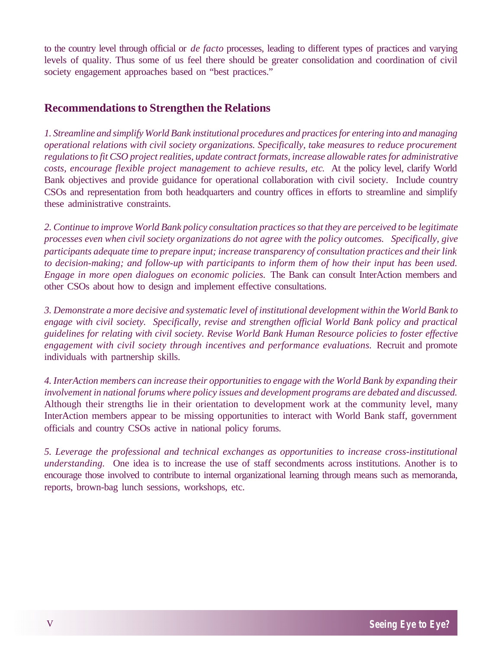to the country level through official or *de facto* processes, leading to different types of practices and varying levels of quality. Thus some of us feel there should be greater consolidation and coordination of civil society engagement approaches based on "best practices."

## **Recommendations to Strengthen the Relations**

*1. Streamline and simplify World Bank institutional procedures and practices for entering into and managing operational relations with civil society organizations. Specifically, take measures to reduce procurement regulations to fit CSO project realities, update contract formats, increase allowable rates for administrative costs, encourage flexible project management to achieve results, etc*. At the policy level, clarify World Bank objectives and provide guidance for operational collaboration with civil society. Include country CSOs and representation from both headquarters and country offices in efforts to streamline and simplify these administrative constraints.

*2. Continue to improve World Bank policy consultation practices so that they are perceived to be legitimate processes even when civil society organizations do not agree with the policy outcomes. Specifically, give participants adequate time to prepare input; increase transparency of consultation practices and their link to decision-making; and follow-up with participants to inform them of how their input has been used. Engage in more open dialogues on economic policies.* The Bank can consult InterAction members and other CSOs about how to design and implement effective consultations.

*3. Demonstrate a more decisive and systematic level of institutional development within the World Bank to engage with civil society. Specifically, revise and strengthen official World Bank policy and practical guidelines for relating with civil society. Revise World Bank Human Resource policies to foster effective engagement with civil society through incentives and performance evaluations.* Recruit and promote individuals with partnership skills.

*4. InterAction members can increase their opportunities to engage with the World Bank by expanding their involvement in national forums where policy issues and development programs are debated and discussed.* Although their strengths lie in their orientation to development work at the community level, many InterAction members appear to be missing opportunities to interact with World Bank staff, government officials and country CSOs active in national policy forums.

*5. Leverage the professional and technical exchanges as opportunities to increase cross-institutional understanding.* One idea is to increase the use of staff secondments across institutions. Another is to encourage those involved to contribute to internal organizational learning through means such as memoranda, reports, brown-bag lunch sessions, workshops, etc.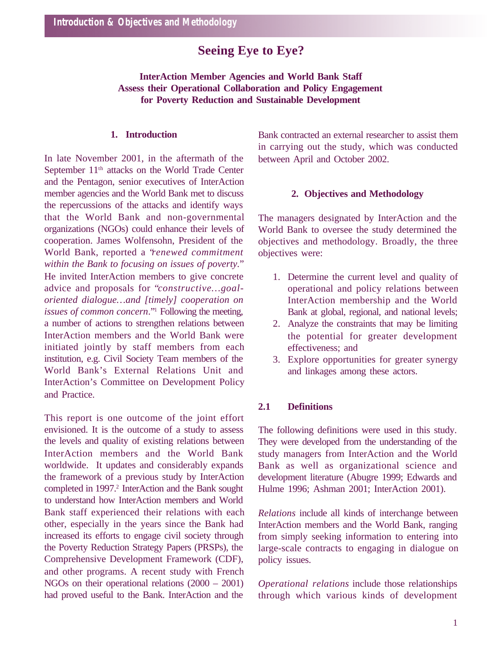## **Seeing Eye to Eye?**

#### **InterAction Member Agencies and World Bank Staff Assess their Operational Collaboration and Policy Engagement for Poverty Reduction and Sustainable Development**

#### **1. Introduction**

In late November 2001, in the aftermath of the September 11<sup>th</sup> attacks on the World Trade Center and the Pentagon, senior executives of InterAction member agencies and the World Bank met to discuss the repercussions of the attacks and identify ways that the World Bank and non-governmental organizations (NGOs) could enhance their levels of cooperation. James Wolfensohn, President of the World Bank, reported a "*renewed commitment within the Bank to focusing on issues of poverty.*" He invited InterAction members to give concrete advice and proposals for "*constructive…goaloriented dialogue…and [timely] cooperation on issues of common concern*."<sup>1</sup> Following the meeting, a number of actions to strengthen relations between InterAction members and the World Bank were initiated jointly by staff members from each institution, e.g. Civil Society Team members of the World Bank's External Relations Unit and InterAction's Committee on Development Policy and Practice.

This report is one outcome of the joint effort envisioned. It is the outcome of a study to assess the levels and quality of existing relations between InterAction members and the World Bank worldwide. It updates and considerably expands the framework of a previous study by InterAction completed in 1997.<sup>2</sup> InterAction and the Bank sought to understand how InterAction members and World Bank staff experienced their relations with each other, especially in the years since the Bank had increased its efforts to engage civil society through the Poverty Reduction Strategy Papers (PRSPs), the Comprehensive Development Framework (CDF), and other programs. A recent study with French NGOs on their operational relations (2000 – 2001) had proved useful to the Bank. InterAction and the

Bank contracted an external researcher to assist them in carrying out the study, which was conducted between April and October 2002.

#### **2. Objectives and Methodology**

The managers designated by InterAction and the World Bank to oversee the study determined the objectives and methodology. Broadly, the three objectives were:

- 1. Determine the current level and quality of operational and policy relations between InterAction membership and the World Bank at global, regional, and national levels;
- 2. Analyze the constraints that may be limiting the potential for greater development effectiveness; and
- 3. Explore opportunities for greater synergy and linkages among these actors.

#### **2.1 Definitions**

The following definitions were used in this study. They were developed from the understanding of the study managers from InterAction and the World Bank as well as organizational science and development literature (Abugre 1999; Edwards and Hulme 1996; Ashman 2001; InterAction 2001).

*Relations* include all kinds of interchange between InterAction members and the World Bank, ranging from simply seeking information to entering into large-scale contracts to engaging in dialogue on policy issues.

*Operational relations* include those relationships through which various kinds of development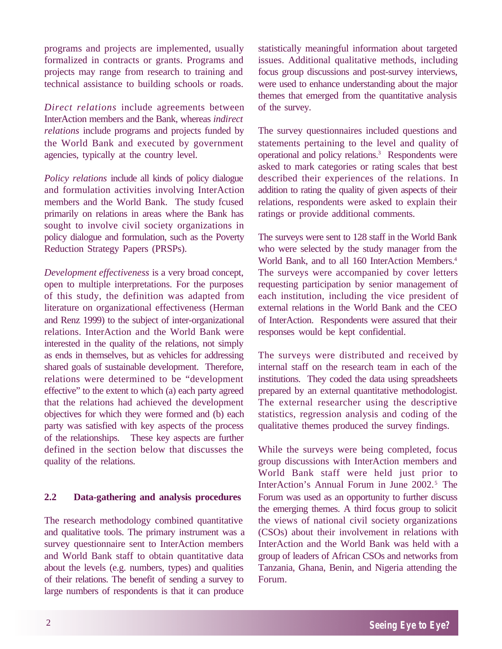programs and projects are implemented, usually formalized in contracts or grants. Programs and projects may range from research to training and technical assistance to building schools or roads.

*Direct relations* include agreements between InterAction members and the Bank, whereas *indirect relations* include programs and projects funded by the World Bank and executed by government agencies, typically at the country level.

*Policy relations* include all kinds of policy dialogue and formulation activities involving InterAction members and the World Bank. The study fcused primarily on relations in areas where the Bank has sought to involve civil society organizations in policy dialogue and formulation, such as the Poverty Reduction Strategy Papers (PRSPs).

*Development effectiveness* is a very broad concept, open to multiple interpretations. For the purposes of this study, the definition was adapted from literature on organizational effectiveness (Herman and Renz 1999) to the subject of inter-organizational relations. InterAction and the World Bank were interested in the quality of the relations, not simply as ends in themselves, but as vehicles for addressing shared goals of sustainable development. Therefore, relations were determined to be "development effective" to the extent to which (a) each party agreed that the relations had achieved the development objectives for which they were formed and (b) each party was satisfied with key aspects of the process of the relationships. These key aspects are further defined in the section below that discusses the quality of the relations.

#### **2.2 Data-gathering and analysis procedures**

The research methodology combined quantitative and qualitative tools. The primary instrument was a survey questionnaire sent to InterAction members and World Bank staff to obtain quantitative data about the levels (e.g. numbers, types) and qualities of their relations. The benefit of sending a survey to large numbers of respondents is that it can produce

statistically meaningful information about targeted issues. Additional qualitative methods, including focus group discussions and post-survey interviews, were used to enhance understanding about the major themes that emerged from the quantitative analysis of the survey.

The survey questionnaires included questions and statements pertaining to the level and quality of operational and policy relations.<sup>3</sup> Respondents were asked to mark categories or rating scales that best described their experiences of the relations. In addition to rating the quality of given aspects of their relations, respondents were asked to explain their ratings or provide additional comments.

The surveys were sent to 128 staff in the World Bank who were selected by the study manager from the World Bank, and to all 160 InterAction Members.<sup>4</sup> The surveys were accompanied by cover letters requesting participation by senior management of each institution, including the vice president of external relations in the World Bank and the CEO of InterAction. Respondents were assured that their responses would be kept confidential.

The surveys were distributed and received by internal staff on the research team in each of the institutions. They coded the data using spreadsheets prepared by an external quantitative methodologist. The external researcher using the descriptive statistics, regression analysis and coding of the qualitative themes produced the survey findings.

While the surveys were being completed, focus group discussions with InterAction members and World Bank staff were held just prior to InterAction's Annual Forum in June 2002.<sup>5</sup> The Forum was used as an opportunity to further discuss the emerging themes. A third focus group to solicit the views of national civil society organizations (CSOs) about their involvement in relations with InterAction and the World Bank was held with a group of leaders of African CSOs and networks from Tanzania, Ghana, Benin, and Nigeria attending the Forum.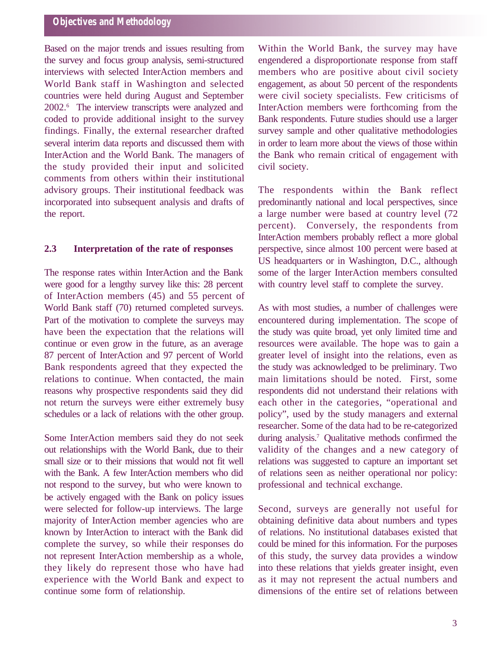## **Objectives and Methodology**

Based on the major trends and issues resulting from the survey and focus group analysis, semi-structured interviews with selected InterAction members and World Bank staff in Washington and selected countries were held during August and September 2002.<sup>6</sup> The interview transcripts were analyzed and coded to provide additional insight to the survey findings. Finally, the external researcher drafted several interim data reports and discussed them with InterAction and the World Bank. The managers of the study provided their input and solicited comments from others within their institutional advisory groups. Their institutional feedback was incorporated into subsequent analysis and drafts of the report.

#### **2.3 Interpretation of the rate of responses**

The response rates within InterAction and the Bank were good for a lengthy survey like this: 28 percent of InterAction members (45) and 55 percent of World Bank staff (70) returned completed surveys. Part of the motivation to complete the surveys may have been the expectation that the relations will continue or even grow in the future, as an average 87 percent of InterAction and 97 percent of World Bank respondents agreed that they expected the relations to continue. When contacted, the main reasons why prospective respondents said they did not return the surveys were either extremely busy schedules or a lack of relations with the other group.

Some InterAction members said they do not seek out relationships with the World Bank, due to their small size or to their missions that would not fit well with the Bank. A few InterAction members who did not respond to the survey, but who were known to be actively engaged with the Bank on policy issues were selected for follow-up interviews. The large majority of InterAction member agencies who are known by InterAction to interact with the Bank did complete the survey, so while their responses do not represent InterAction membership as a whole, they likely do represent those who have had experience with the World Bank and expect to continue some form of relationship.

Within the World Bank, the survey may have engendered a disproportionate response from staff members who are positive about civil society engagement, as about 50 percent of the respondents were civil society specialists. Few criticisms of InterAction members were forthcoming from the Bank respondents. Future studies should use a larger survey sample and other qualitative methodologies in order to learn more about the views of those within the Bank who remain critical of engagement with civil society.

The respondents within the Bank reflect predominantly national and local perspectives, since a large number were based at country level (72 percent). Conversely, the respondents from InterAction members probably reflect a more global perspective, since almost 100 percent were based at US headquarters or in Washington, D.C., although some of the larger InterAction members consulted with country level staff to complete the survey.

As with most studies, a number of challenges were encountered during implementation. The scope of the study was quite broad, yet only limited time and resources were available. The hope was to gain a greater level of insight into the relations, even as the study was acknowledged to be preliminary. Two main limitations should be noted. First, some respondents did not understand their relations with each other in the categories, "operational and policy", used by the study managers and external researcher. Some of the data had to be re-categorized during analysis.<sup>7</sup> Qualitative methods confirmed the validity of the changes and a new category of relations was suggested to capture an important set of relations seen as neither operational nor policy: professional and technical exchange.

Second, surveys are generally not useful for obtaining definitive data about numbers and types of relations. No institutional databases existed that could be mined for this information. For the purposes of this study, the survey data provides a window into these relations that yields greater insight, even as it may not represent the actual numbers and dimensions of the entire set of relations between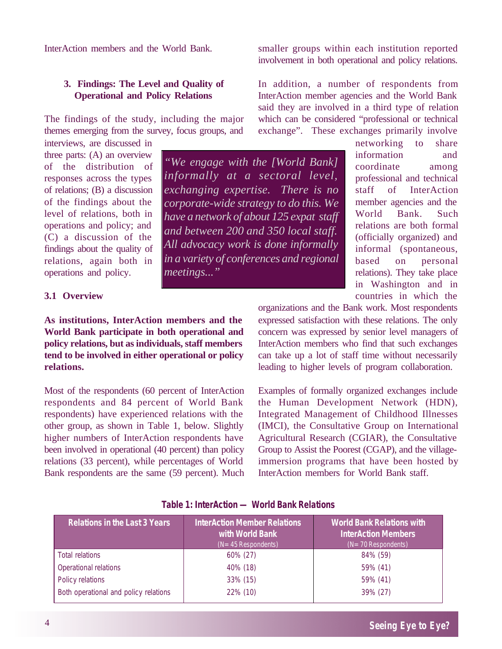InterAction members and the World Bank.

## **3. Findings: The Level and Quality of Operational and Policy Relations**

The findings of the study, including the major themes emerging from the survey, focus groups, and

interviews, are discussed in three parts: (A) an overview of the distribution of responses across the types of relations; (B) a discussion of the findings about the level of relations, both in operations and policy; and (C) a discussion of the findings about the quality of relations, again both in operations and policy.

#### **3.1 Overview**

**As institutions, InterAction members and the World Bank participate in both operational and policy relations, but as individuals, staff members tend to be involved in either operational or policy relations.**

*meetings..."*

Most of the respondents (60 percent of InterAction respondents and 84 percent of World Bank respondents) have experienced relations with the other group, as shown in Table 1, below. Slightly higher numbers of InterAction respondents have been involved in operational (40 percent) than policy relations (33 percent), while percentages of World Bank respondents are the same (59 percent). Much smaller groups within each institution reported involvement in both operational and policy relations.

In addition, a number of respondents from InterAction member agencies and the World Bank said they are involved in a third type of relation which can be considered "professional or technical exchange". These exchanges primarily involve

> networking to share information and coordinate among professional and technical staff of InterAction member agencies and the World Bank. Such relations are both formal (officially organized) and informal (spontaneous, based on personal relations). They take place in Washington and in countries in which the

organizations and the Bank work. Most respondents expressed satisfaction with these relations. The only concern was expressed by senior level managers of InterAction members who find that such exchanges can take up a lot of staff time without necessarily leading to higher levels of program collaboration.

Examples of formally organized exchanges include the Human Development Network (HDN), Integrated Management of Childhood Illnesses (IMCI), the Consultative Group on International Agricultural Research (CGIAR), the Consultative Group to Assist the Poorest (CGAP), and the villageimmersion programs that have been hosted by InterAction members for World Bank staff.

| <b>Relations in the Last 3 Years</b>  | <b>InterAction Member Relations</b><br>with World Bank<br>$(N=45$ Respondents) | <b>World Bank Relations with</b><br><b>InterAction Members</b><br>$(N = 70$ Respondents) |
|---------------------------------------|--------------------------------------------------------------------------------|------------------------------------------------------------------------------------------|
| Total relations                       | 60% (27)                                                                       | 84% (59)                                                                                 |
| Operational relations                 | 40% (18)                                                                       | 59% (41)                                                                                 |
| Policy relations                      | 33% (15)                                                                       | 59% (41)                                                                                 |
| Both operational and policy relations | 22% (10)                                                                       | 39% (27)                                                                                 |

#### **Table 1: InterAction — World Bank Relations**

*"We engage with the [World Bank] informally at a sectoral level, exchanging expertise. There is no corporate-wide strategy to do this. We have a network of about 125 expat staff and between 200 and 350 local staff. All advocacy work is done informally in a variety of conferences and regional*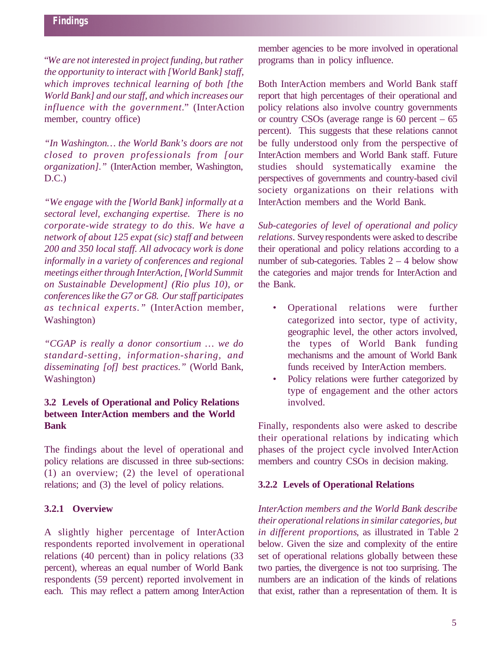"*We are not interested in project funding, but rather the opportunity to interact with [World Bank] staff, which improves technical learning of both [the World Bank] and our staff, and which increases our influence with the government.*" (InterAction member, country office)

*"In Washington… the World Bank's doors are not closed to proven professionals from [our organization]."* (InterAction member, Washington, D.C.)

*"We engage with the [World Bank] informally at a sectoral level, exchanging expertise. There is no corporate-wide strategy to do this. We have a network of about 125 expat (sic) staff and between 200 and 350 local staff. All advocacy work is done informally in a variety of conferences and regional meetings either through InterAction, [World Summit on Sustainable Development] (Rio plus 10), or conferences like the G7 or G8. Our staff participates as technical experts."* (InterAction member, Washington)

*"CGAP is really a donor consortium … we do standard-setting, information-sharing, and disseminating [of] best practices."* (World Bank, Washington)

#### **3.2 Levels of Operational and Policy Relations between InterAction members and the World Bank**

The findings about the level of operational and policy relations are discussed in three sub-sections: (1) an overview; (2) the level of operational relations; and (3) the level of policy relations.

#### **3.2.1 Overview**

A slightly higher percentage of InterAction respondents reported involvement in operational relations (40 percent) than in policy relations (33 percent), whereas an equal number of World Bank respondents (59 percent) reported involvement in each. This may reflect a pattern among InterAction member agencies to be more involved in operational programs than in policy influence.

Both InterAction members and World Bank staff report that high percentages of their operational and policy relations also involve country governments or country CSOs (average range is 60 percent – 65 percent). This suggests that these relations cannot be fully understood only from the perspective of InterAction members and World Bank staff. Future studies should systematically examine the perspectives of governments and country-based civil society organizations on their relations with InterAction members and the World Bank.

*Sub-categories of level of operational and policy relations*. Survey respondents were asked to describe their operational and policy relations according to a number of sub-categories. Tables  $2 - 4$  below show the categories and major trends for InterAction and the Bank.

- Operational relations were further categorized into sector, type of activity, geographic level, the other actors involved, the types of World Bank funding mechanisms and the amount of World Bank funds received by InterAction members.
- Policy relations were further categorized by type of engagement and the other actors involved.

Finally, respondents also were asked to describe their operational relations by indicating which phases of the project cycle involved InterAction members and country CSOs in decision making.

#### **3.2.2 Levels of Operational Relations**

*InterAction members and the World Bank describe their operational relations in similar categories, but in different proportions*, as illustrated in Table 2 below. Given the size and complexity of the entire set of operational relations globally between these two parties, the divergence is not too surprising. The numbers are an indication of the kinds of relations that exist, rather than a representation of them. It is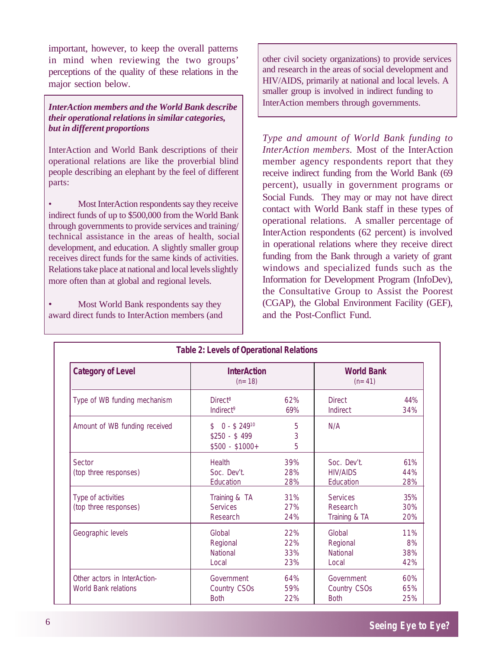important, however, to keep the overall patterns in mind when reviewing the two groups' perceptions of the quality of these relations in the major section below.

*InterAction members and the World Bank describe their operational relations in similar categories, but in different proportions*

InterAction and World Bank descriptions of their operational relations are like the proverbial blind people describing an elephant by the feel of different parts:

• Most InterAction respondents say they receive indirect funds of up to \$500,000 from the World Bank through governments to provide services and training/ technical assistance in the areas of health, social development, and education. A slightly smaller group receives direct funds for the same kinds of activities. Relations take place at national and local levels slightly more often than at global and regional levels.

• Most World Bank respondents say they award direct funds to InterAction members (and other civil society organizations) to provide services and research in the areas of social development and HIV/AIDS, primarily at national and local levels. A smaller group is involved in indirect funding to InterAction members through governments.

*Type and amount of World Bank funding to InterAction members.* Most of the InterAction member agency respondents report that they receive indirect funding from the World Bank (69 percent), usually in government programs or Social Funds. They may or may not have direct contact with World Bank staff in these types of operational relations. A smaller percentage of InterAction respondents (62 percent) is involved in operational relations where they receive direct funding from the Bank through a variety of grant windows and specialized funds such as the Information for Development Program (InfoDev), the Consultative Group to Assist the Poorest (CGAP), the Global Environment Facility (GEF), and the Post-Conflict Fund.

| <b>Category of Level</b>                                    | <b>InterAction</b><br>$(n=18)$                                        |                          | <b>World Bank</b><br>$(n=41)$                |                         |  |
|-------------------------------------------------------------|-----------------------------------------------------------------------|--------------------------|----------------------------------------------|-------------------------|--|
| Type of WB funding mechanism                                | Direct <sup>8</sup><br>Indirect <sup>9</sup>                          | 62%<br>69%               | <b>Direct</b><br>Indirect                    | 44%<br>34%              |  |
| Amount of WB funding received                               | $0 - $249^{10}$<br>$\mathcal{S}$<br>$$250 - $499$<br>$$500 - $1000 +$ | 5<br>3<br>5              | N/A                                          |                         |  |
| Sector<br>(top three responses)                             | Health<br>Soc. Dev't.<br>Education                                    | 39%<br>28%<br>28%        | Soc. Dev't.<br><b>HIV/AIDS</b><br>Education  | 61%<br>44%<br>28%       |  |
| Type of activities<br>(top three responses)                 | Training & TA<br><b>Services</b><br>Research                          | 31%<br>27%<br>24%        | <b>Services</b><br>Research<br>Training & TA | 35%<br>30%<br>20%       |  |
| Geographic levels                                           | Global<br>Regional<br>National<br>Local                               | 22%<br>22%<br>33%<br>23% | Global<br>Regional<br>National<br>Local      | 11%<br>8%<br>38%<br>42% |  |
| Other actors in InterAction-<br><b>World Bank relations</b> | Government<br>Country CSOs<br><b>Both</b>                             | 64%<br>59%<br>22%        | Government<br>Country CSOs<br><b>Both</b>    | 60%<br>65%<br>25%       |  |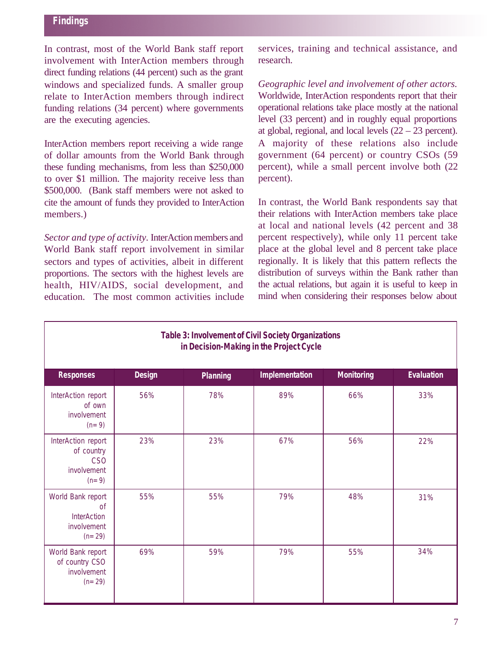In contrast, most of the World Bank staff report involvement with InterAction members through direct funding relations (44 percent) such as the grant windows and specialized funds. A smaller group relate to InterAction members through indirect funding relations (34 percent) where governments are the executing agencies.

InterAction members report receiving a wide range of dollar amounts from the World Bank through these funding mechanisms, from less than \$250,000 to over \$1 million. The majority receive less than \$500,000. (Bank staff members were not asked to cite the amount of funds they provided to InterAction members.)

*Sector and type of activity.* InterAction members and World Bank staff report involvement in similar sectors and types of activities, albeit in different proportions. The sectors with the highest levels are health, HIV/AIDS, social development, and education. The most common activities include services, training and technical assistance, and research.

*Geographic level and involvement of other actors.* Worldwide, InterAction respondents report that their operational relations take place mostly at the national level (33 percent) and in roughly equal proportions at global, regional, and local levels (22 – 23 percent). A majority of these relations also include government (64 percent) or country CSOs (59 percent), while a small percent involve both (22 percent).

In contrast, the World Bank respondents say that their relations with InterAction members take place at local and national levels (42 percent and 38 percent respectively), while only 11 percent take place at the global level and 8 percent take place regionally. It is likely that this pattern reflects the distribution of surveys within the Bank rather than the actual relations, but again it is useful to keep in mind when considering their responses below about

| Table 3: Involvement of Civil Society Organizations<br>in Decision-Making in the Project Cycle |               |          |                |                   |                   |
|------------------------------------------------------------------------------------------------|---------------|----------|----------------|-------------------|-------------------|
| <b>Responses</b>                                                                               | <b>Design</b> | Planning | Implementation | <b>Monitoring</b> | <b>Evaluation</b> |
| InterAction report<br>of own<br>involvement<br>$(n=9)$                                         | 56%           | 78%      | 89%            | 66%               | 33%               |
| InterAction report<br>of country<br>C <sub>SO</sub><br>involvement<br>$(n=9)$                  | 23%           | 23%      | 67%            | 56%               | 22%               |
| World Bank report<br>$\Omega$<br><b>InterAction</b><br>involvement<br>$(n=29)$                 | 55%           | 55%      | 79%            | 48%               | 31%               |
| World Bank report<br>of country CSO<br>involvement<br>$(n=29)$                                 | 69%           | 59%      | 79%            | 55%               | 34%               |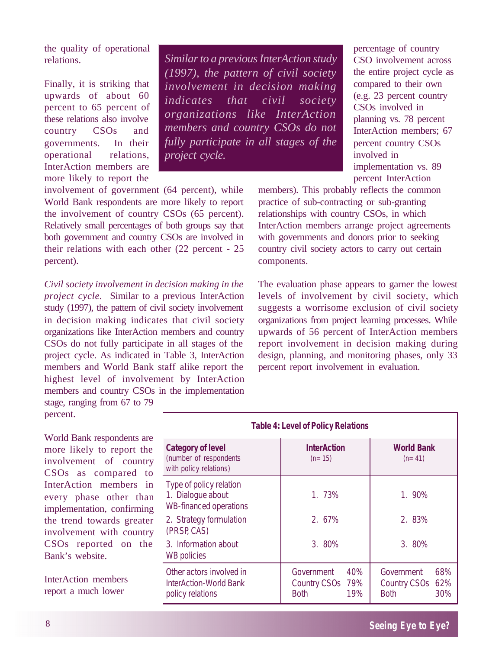the quality of operational relations.

Finally, it is striking that upwards of about 60 percent to 65 percent of these relations also involve country CSOs and governments. In their operational relations, InterAction members are more likely to report the

*Similar to a previous InterAction study (1997), the pattern of civil society involvement in decision making indicates that civil society organizations like InterAction members and country CSOs do not fully participate in all stages of the project cycle.*

involvement of government (64 percent), while World Bank respondents are more likely to report the involvement of country CSOs (65 percent). Relatively small percentages of both groups say that both government and country CSOs are involved in their relations with each other (22 percent - 25 percent).

*Civil society involvement in decision making in the project cycle.* Similar to a previous InterAction study (1997), the pattern of civil society involvement in decision making indicates that civil society organizations like InterAction members and country CSOs do not fully participate in all stages of the project cycle. As indicated in Table 3, InterAction members and World Bank staff alike report the highest level of involvement by InterAction members and country CSOs in the implementation stage, ranging from 67 to 79

percentage of country CSO involvement across the entire project cycle as compared to their own (e.g. 23 percent country CSOs involved in planning vs. 78 percent InterAction members; 67 percent country CSOs involved in implementation vs. 89 percent InterAction

members). This probably reflects the common practice of sub-contracting or sub-granting relationships with country CSOs, in which InterAction members arrange project agreements with governments and donors prior to seeking country civil society actors to carry out certain components.

The evaluation phase appears to garner the lowest levels of involvement by civil society, which suggests a worrisome exclusion of civil society organizations from project learning processes. While upwards of 56 percent of InterAction members report involvement in decision making during design, planning, and monitoring phases, only 33 percent report involvement in evaluation.

percent.

World Bank respondents are more likely to report the involvement of country CSOs as compared to InterAction members in every phase other than implementation, confirming the trend towards greater involvement with country CSOs reported on the Bank's website.

InterAction members report a much lower

| <b>Table 4: Level of Policy Relations</b>                                     |                                                             |                                                             |  |  |
|-------------------------------------------------------------------------------|-------------------------------------------------------------|-------------------------------------------------------------|--|--|
| <b>Category of level</b><br>(number of respondents<br>with policy relations)  | <b>InterAction</b><br>$(n=15)$                              | <b>World Bank</b><br>$(n=41)$                               |  |  |
| Type of policy relation<br>1. Dialoque about<br><b>WB-financed operations</b> | 1. 73%                                                      | 1. 90%                                                      |  |  |
| 2. Strategy formulation<br>(PRSP, CAS)                                        | 2.67%                                                       | 2. 83%                                                      |  |  |
| 3. Information about<br><b>WB</b> policies                                    | 3. 80%                                                      | 3. 80%                                                      |  |  |
| Other actors involved in<br><b>InterAction-World Bank</b><br>policy relations | Government<br>40%<br>Country CSOs 79%<br>19%<br><b>Both</b> | 68%<br>Government<br>Country CSOs 62%<br>30%<br><b>Both</b> |  |  |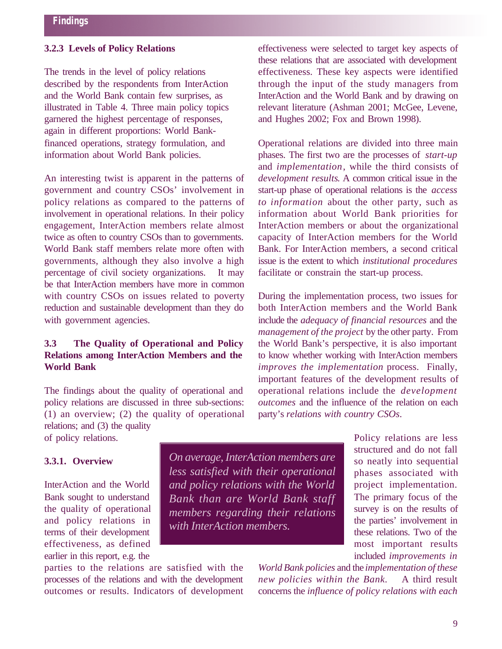#### **3.2.3 Levels of Policy Relations**

The trends in the level of policy relations described by the respondents from InterAction and the World Bank contain few surprises, as illustrated in Table 4. Three main policy topics garnered the highest percentage of responses, again in different proportions: World Bankfinanced operations, strategy formulation, and information about World Bank policies.

An interesting twist is apparent in the patterns of government and country CSOs' involvement in policy relations as compared to the patterns of involvement in operational relations. In their policy engagement, InterAction members relate almost twice as often to country CSOs than to governments. World Bank staff members relate more often with governments, although they also involve a high percentage of civil society organizations. It may be that InterAction members have more in common with country CSOs on issues related to poverty reduction and sustainable development than they do with government agencies.

#### **3.3 The Quality of Operational and Policy Relations among InterAction Members and the World Bank**

The findings about the quality of operational and policy relations are discussed in three sub-sections: (1) an overview; (2) the quality of operational relations; and (3) the quality

of policy relations.

#### **3.3.1. Overview**

InterAction and the World Bank sought to understand the quality of operational and policy relations in terms of their development effectiveness, as defined earlier in this report, e.g. the

parties to the relations are satisfied with the processes of the relations and with the development outcomes or results. Indicators of development

*On average, InterAction members are less satisfied with their operational and policy relations with the World Bank than are World Bank staff members regarding their relations with InterAction members.*

effectiveness were selected to target key aspects of these relations that are associated with development effectiveness. These key aspects were identified through the input of the study managers from InterAction and the World Bank and by drawing on relevant literature (Ashman 2001; McGee, Levene, and Hughes 2002; Fox and Brown 1998).

Operational relations are divided into three main phases. The first two are the processes of *start-up* and *implementation*, while the third consists of *development results*. A common critical issue in the start-up phase of operational relations is the *access to information* about the other party, such as information about World Bank priorities for InterAction members or about the organizational capacity of InterAction members for the World Bank. For InterAction members, a second critical issue is the extent to which *institutional procedures* facilitate or constrain the start-up process.

During the implementation process, two issues for both InterAction members and the World Bank include the *adequacy of financial resources* and the *management of the project* by the other party. From the World Bank's perspective, it is also important to know whether working with InterAction members *improves the implementation* process. Finally, important features of the development results of operational relations include the *development outcomes* and the influence of the relation on each party's *relations with country CSOs*.

> Policy relations are less structured and do not fall so neatly into sequential phases associated with project implementation. The primary focus of the survey is on the results of the parties' involvement in these relations. Two of the most important results included *improvements in*

*World Bank policies* and the *implementation of these new policies within the Bank.* A third result concerns the *influence of policy relations with each*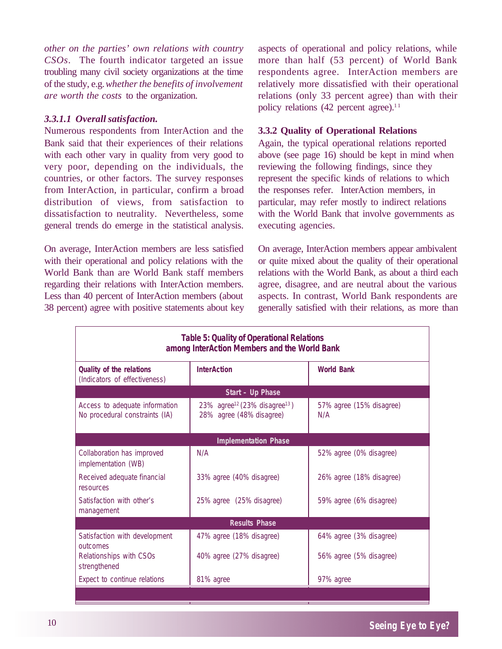*other on the parties' own relations with country CSOs*. The fourth indicator targeted an issue troubling many civil society organizations at the time of the study, e.g. *whether the benefits of involvement are worth the costs* to the organization.

#### *3.3.1.1 Overall satisfaction.*

Numerous respondents from InterAction and the Bank said that their experiences of their relations with each other vary in quality from very good to very poor, depending on the individuals, the countries, or other factors. The survey responses from InterAction, in particular, confirm a broad distribution of views, from satisfaction to dissatisfaction to neutrality. Nevertheless, some general trends do emerge in the statistical analysis.

On average, InterAction members are less satisfied with their operational and policy relations with the World Bank than are World Bank staff members regarding their relations with InterAction members. Less than 40 percent of InterAction members (about 38 percent) agree with positive statements about key aspects of operational and policy relations, while more than half (53 percent) of World Bank respondents agree. InterAction members are relatively more dissatisfied with their operational relations (only 33 percent agree) than with their policy relations  $(42)$  percent agree).<sup>11</sup>

#### **3.3.2 Quality of Operational Relations**

Again, the typical operational relations reported above (see page 16) should be kept in mind when reviewing the following findings, since they represent the specific kinds of relations to which the responses refer. InterAction members, in particular, may refer mostly to indirect relations with the World Bank that involve governments as executing agencies.

On average, InterAction members appear ambivalent or quite mixed about the quality of their operational relations with the World Bank, as about a third each agree, disagree, and are neutral about the various aspects. In contrast, World Bank respondents are generally satisfied with their relations, as more than

| <b>Table 5: Quality of Operational Relations</b><br>among InterAction Members and the World Bank |                                                                                   |                                 |  |  |
|--------------------------------------------------------------------------------------------------|-----------------------------------------------------------------------------------|---------------------------------|--|--|
| Quality of the relations<br>(Indicators of effectiveness)                                        | <b>InterAction</b>                                                                | <b>World Bank</b>               |  |  |
|                                                                                                  | Start - Up Phase                                                                  |                                 |  |  |
| Access to adequate information<br>No procedural constraints (IA)                                 | 23% agree <sup>12</sup> (23% disagree <sup>13</sup> )<br>28% agree (48% disagree) | 57% agree (15% disagree)<br>N/A |  |  |
|                                                                                                  | <b>Implementation Phase</b>                                                       |                                 |  |  |
| Collaboration has improved<br>implementation (WB)                                                | N/A                                                                               | 52% agree (0% disagree)         |  |  |
| Received adequate financial<br>resources                                                         | 33% agree (40% disagree)                                                          | 26% agree (18% disagree)        |  |  |
| Satisfaction with other's<br>management                                                          | 25% agree (25% disagree)                                                          | 59% agree (6% disagree)         |  |  |
| <b>Results Phase</b>                                                                             |                                                                                   |                                 |  |  |
| Satisfaction with development<br>outcomes                                                        | 47% agree (18% disagree)                                                          | 64% agree (3% disagree)         |  |  |
| Relationships with CSOs<br>strengthened                                                          | 40% agree (27% disagree)                                                          | 56% agree (5% disagree)         |  |  |
| Expect to continue relations                                                                     | 81% agree                                                                         | 97% agree                       |  |  |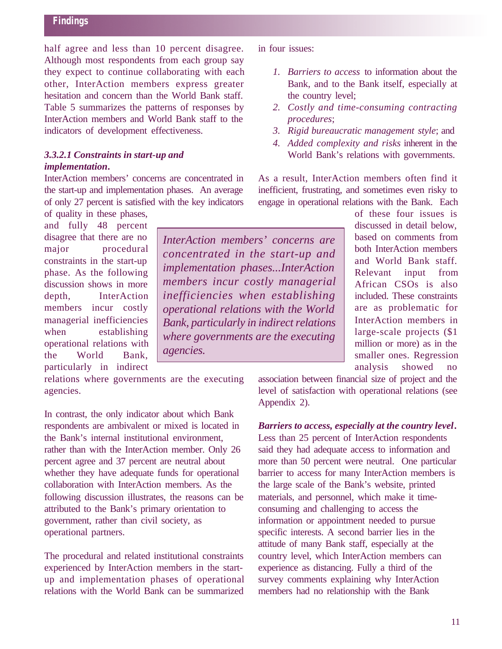#### **Findings**

half agree and less than 10 percent disagree. Although most respondents from each group say they expect to continue collaborating with each other, InterAction members express greater hesitation and concern than the World Bank staff. Table 5 summarizes the patterns of responses by InterAction members and World Bank staff to the indicators of development effectiveness.

#### *3.3.2.1 Constraints in start-up and implementation***.**

InterAction members' concerns are concentrated in the start-up and implementation phases. An average of only 27 percent is satisfied with the key indicators

of quality in these phases, and fully 48 percent disagree that there are no major procedural constraints in the start-up phase. As the following discussion shows in more depth, InterAction members incur costly managerial inefficiencies when establishing operational relations with the World Bank, particularly in indirect

relations where governments are the executing agencies.

In contrast, the only indicator about which Bank respondents are ambivalent or mixed is located in the Bank's internal institutional environment, rather than with the InterAction member. Only 26 percent agree and 37 percent are neutral about whether they have adequate funds for operational collaboration with InterAction members. As the following discussion illustrates, the reasons can be attributed to the Bank's primary orientation to government, rather than civil society, as operational partners.

The procedural and related institutional constraints experienced by InterAction members in the startup and implementation phases of operational relations with the World Bank can be summarized

*InterAction members' concerns are concentrated in the start-up and implementation phases...InterAction members incur costly managerial inefficiencies when establishing operational relations with the World Bank, particularly in indirect relations where governments are the executing agencies.*

in four issues:

- *1. Barriers to access* to information about the Bank, and to the Bank itself, especially at the country level;
- *2. Costly and time-consuming contracting procedures*;
- *3. Rigid bureaucratic management style*; and
- *4. Added complexity and risks* inherent in the World Bank's relations with governments.

As a result, InterAction members often find it inefficient, frustrating, and sometimes even risky to engage in operational relations with the Bank. Each

> of these four issues is discussed in detail below, based on comments from both InterAction members and World Bank staff. Relevant input from African CSOs is also included. These constraints are as problematic for InterAction members in large-scale projects (\$1 million or more) as in the smaller ones. Regression analysis showed no

association between financial size of project and the level of satisfaction with operational relations (see Appendix 2).

*Barriers to access, especially at the country level***.** Less than 25 percent of InterAction respondents said they had adequate access to information and more than 50 percent were neutral. One particular barrier to access for many InterAction members is the large scale of the Bank's website, printed materials, and personnel, which make it timeconsuming and challenging to access the information or appointment needed to pursue specific interests. A second barrier lies in the attitude of many Bank staff, especially at the country level, which InterAction members can experience as distancing. Fully a third of the survey comments explaining why InterAction members had no relationship with the Bank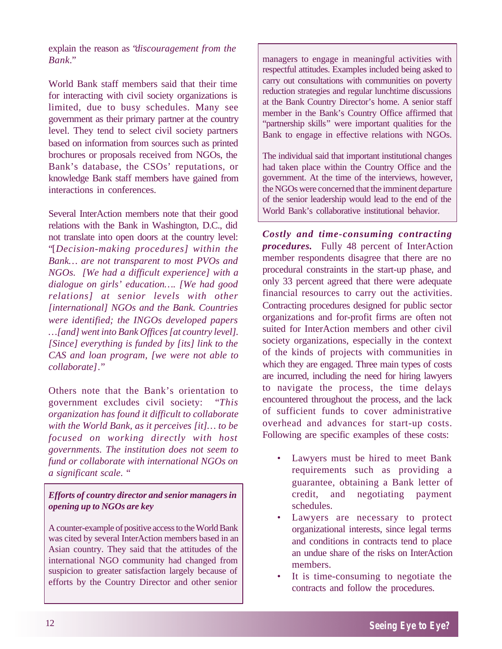explain the reason as "*discouragement from the Bank.*"

World Bank staff members said that their time for interacting with civil society organizations is limited, due to busy schedules. Many see government as their primary partner at the country level. They tend to select civil society partners based on information from sources such as printed brochures or proposals received from NGOs, the Bank's database, the CSOs' reputations, or knowledge Bank staff members have gained from interactions in conferences.

Several InterAction members note that their good relations with the Bank in Washington, D.C., did not translate into open doors at the country level: "[*Decision-making procedures] within the Bank… are not transparent to most PVOs and NGOs. [We had a difficult experience] with a dialogue on girls' education…. [We had good relations] at senior levels with other [international] NGOs and the Bank. Countries were identified; the INGOs developed papers …[and] went into Bank Offices [at country level]. [Since] everything is funded by [its] link to the CAS and loan program, [we were not able to collaborate]*."

Others note that the Bank's orientation to government excludes civil society: "*This organization has found it difficult to collaborate with the World Bank, as it perceives [it]… to be focused on working directly with host governments. The institution does not seem to fund or collaborate with international NGOs on a significant scale*. "

#### *Efforts of country director and senior managers in opening up to NGOs are key*

A counter-example of positive access to the World Bank was cited by several InterAction members based in an Asian country. They said that the attitudes of the international NGO community had changed from suspicion to greater satisfaction largely because of efforts by the Country Director and other senior

managers to engage in meaningful activities with respectful attitudes. Examples included being asked to carry out consultations with communities on poverty reduction strategies and regular lunchtime discussions at the Bank Country Director's home. A senior staff member in the Bank's Country Office affirmed that "partnership skills" were important qualities for the Bank to engage in effective relations with NGOs.

The individual said that important institutional changes had taken place within the Country Office and the government. At the time of the interviews, however, the NGOs were concerned that the imminent departure of the senior leadership would lead to the end of the World Bank's collaborative institutional behavior.

*Costly and time-consuming contracting procedures.* Fully 48 percent of InterAction member respondents disagree that there are no procedural constraints in the start-up phase, and only 33 percent agreed that there were adequate financial resources to carry out the activities. Contracting procedures designed for public sector organizations and for-profit firms are often not suited for InterAction members and other civil society organizations, especially in the context of the kinds of projects with communities in which they are engaged. Three main types of costs are incurred, including the need for hiring lawyers to navigate the process, the time delays encountered throughout the process, and the lack of sufficient funds to cover administrative overhead and advances for start-up costs. Following are specific examples of these costs:

- Lawyers must be hired to meet Bank requirements such as providing a guarantee, obtaining a Bank letter of credit, and negotiating payment schedules.
- Lawyers are necessary to protect organizational interests, since legal terms and conditions in contracts tend to place an undue share of the risks on InterAction members.
- It is time-consuming to negotiate the contracts and follow the procedures.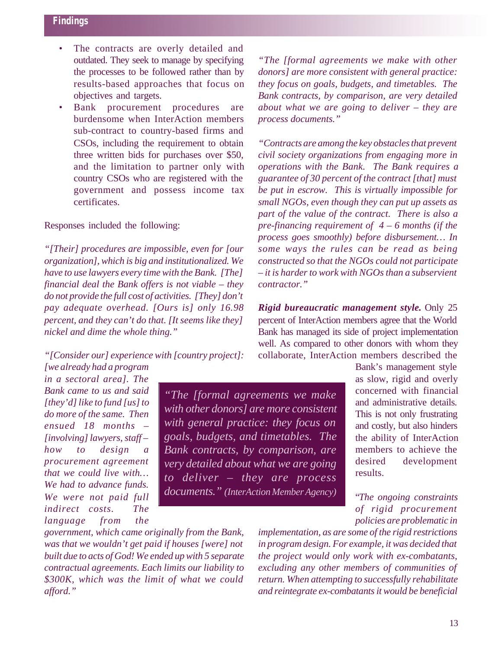- The contracts are overly detailed and outdated. They seek to manage by specifying the processes to be followed rather than by results-based approaches that focus on objectives and targets.
- Bank procurement procedures are burdensome when InterAction members sub-contract to country-based firms and CSOs, including the requirement to obtain three written bids for purchases over \$50, and the limitation to partner only with country CSOs who are registered with the government and possess income tax certificates.

Responses included the following:

*"[Their] procedures are impossible, even for [our organization], which is big and institutionalized. We have to use lawyers every time with the Bank. [The] financial deal the Bank offers is not viable – they do not provide the full cost of activities. [They] don't pay adequate overhead. [Ours is] only 16.98 percent, and they can't do that. [It seems like they] nickel and dime the whole thing."*

*"[Consider our] experience with [country project]: [we already had a program*

*in a sectoral area]. The Bank came to us and said [they'd] like to fund [us] to do more of the same. Then ensued 18 months – [involving] lawyers, staff – how to design a procurement agreement that we could live with… We had to advance funds. We were not paid full indirect costs. The language from the*

*government, which came originally from the Bank, was that we wouldn't get paid if houses [were] not built due to acts of God! We ended up with 5 separate contractual agreements. Each limits our liability to \$300K, which was the limit of what we could afford."*

*"The [formal agreements we make with other donors] are more consistent with general practice: they focus on goals, budgets, and timetables. The Bank contracts, by comparison, are very detailed about what we are going to deliver – they are process documents."*

*"Contracts are among the key obstacles that prevent civil society organizations from engaging more in operations with the Bank. The Bank requires a guarantee of 30 percent of the contract [that] must be put in escrow. This is virtually impossible for small NGOs, even though they can put up assets as part of the value of the contract. There is also a pre-financing requirement of 4 – 6 months (if the process goes smoothly) before disbursement… In some ways the rules can be read as being constructed so that the NGOs could not participate – it is harder to work with NGOs than a subservient contractor."*

*Rigid bureaucratic management style***.** Only 25 percent of InterAction members agree that the World Bank has managed its side of project implementation well. As compared to other donors with whom they collaborate, InterAction members described the

> Bank's management style as slow, rigid and overly concerned with financial and administrative details*.* This is not only frustrating and costly, but also hinders the ability of InterAction members to achieve the desired development results.

"*The ongoing constraints of rigid procurement policies are problematic in*

*implementation, as are some of the rigid restrictions in program design. For example, it was decided that the project would only work with ex-combatants, excluding any other members of communities of return. When attempting to successfully rehabilitate and reintegrate ex-combatants it would be beneficial*

*with other donors] are more consistent with general practice: they focus on goals, budgets, and timetables. The Bank contracts, by comparison, are very detailed about what we are going to deliver – they are process documents." (InterAction Member Agency)*

*"The [formal agreements we make*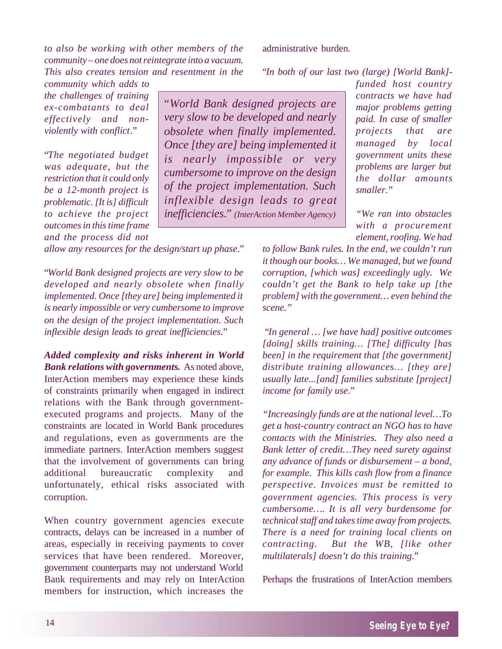*to also be working with other members of the community – one does not reintegrate into a vacuum. This also creates tension and resentment in the*

*community which adds to the challenges of training ex-combatants to deal effectively and nonviolently with conflict*."

"*The negotiated budget was adequate, but the restriction that it could only be a 12-month project is problematic. [It is] difficult to achieve the project outcomes in this time frame and the process did not*

*allow any resources for the design/start up phase*."

"*World Bank designed projects are very slow to be developed and nearly obsolete when finally implemented. Once [they are] being implemented it is nearly impossible or very cumbersome to improve on the design of the project implementation. Such inflexible design leads to great inefficiencies*."

*Added complexity and risks inherent in World Bank relations with governments***.** As noted above, InterAction members may experience these kinds of constraints primarily when engaged in indirect relations with the Bank through governmentexecuted programs and projects. Many of the constraints are located in World Bank procedures and regulations, even as governments are the immediate partners. InterAction members suggest that the involvement of governments can bring additional bureaucratic complexity and unfortunately, ethical risks associated with corruption.

When country government agencies execute contracts, delays can be increased in a number of areas, especially in receiving payments to cover services that have been rendered. Moreover, government counterparts may not understand World Bank requirements and may rely on InterAction members for instruction, which increases the

administrative burden.

"*In both of our last two (large) [World Bank]-*

"*World Bank designed projects are very slow to be developed and nearly obsolete when finally implemented. Once [they are] being implemented it is nearly impossible or very cumbersome to improve on the design of the project implementation. Such inflexible design leads to great inefficiencies*." *(InterAction Member Agency)*

*funded host country contracts we have had major problems getting paid. In case of smaller projects that are managed by local government units these problems are larger but the dollar amounts smaller*."

*"We ran into obstacles with a procurement element, roofing. We had*

*to follow Bank rules. In the end, we couldn't run it though our books… We managed, but we found corruption, [which was] exceedingly ugly. We couldn't get the Bank to help take up [the problem] with the government… even behind the scene."*

 "*In general … [we have had] positive outcomes [doing] skills training… [The] difficulty [has been] in the requirement that [the government] distribute training allowances… [they are] usually late...[and] families substitute [project] income for family use*."

*"Increasingly funds are at the national level…To get a host-country contract an NGO has to have contacts with the Ministries. They also need a Bank letter of credit…They need surety against any advance of funds or disbursement – a bond, for example. This kills cash flow from a finance perspective. Invoices must be remitted to government agencies. This process is very cumbersome…. It is all very burdensome for technical staff and takes time away from projects. There is a need for training local clients on contracting. But the WB, [like other multilaterals] doesn't do this training*."

Perhaps the frustrations of InterAction members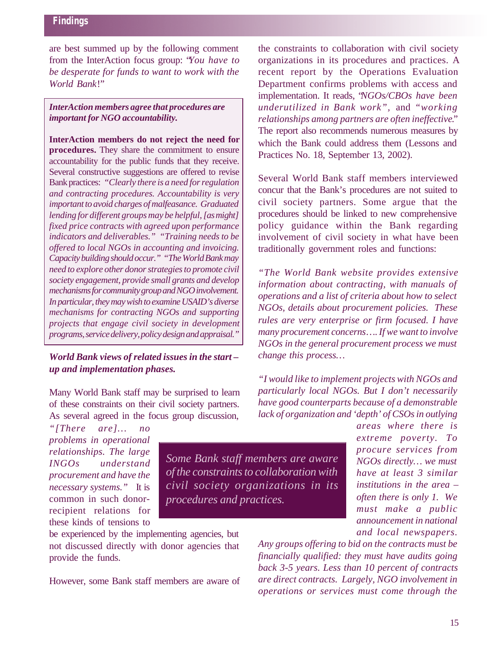## **Findings**

are best summed up by the following comment from the InterAction focus group: "*You have to be desperate for funds to want to work with the World Bank*!"

*InterAction members agree that procedures are important for NGO accountability.*

**InterAction members do not reject the need for procedures.** They share the commitment to ensure accountability for the public funds that they receive. Several constructive suggestions are offered to revise Bank practices: *"Clearly there is a need for regulation and contracting procedures. Accountability is very important to avoid charges of malfeasance. Graduated lending for different groups may be helpful, [as might] fixed price contracts with agreed upon performance indicators and deliverables." "Training needs to be offered to local NGOs in accounting and invoicing. Capacity building should occur." "The World Bank may need to explore other donor strategies to promote civil society engagement, provide small grants and develop mechanisms for community group and NGO involvement. In particular, they may wish to examine USAID's diverse mechanisms for contracting NGOs and supporting projects that engage civil society in development programs, service delivery, policy design and appraisal."*

#### *World Bank views of related issues in the start – up and implementation phases.*

Many World Bank staff may be surprised to learn of these constraints on their civil society partners. As several agreed in the focus group discussion,

> *Some Bank staff members are aware of the constraints to collaboration with civil society organizations in its*

*procedures and practices.*

*"[There are]… no problems in operational relationships. The large INGOs understand procurement and have the necessary systems."* It is common in such donorrecipient relations for these kinds of tensions to

be experienced by the implementing agencies, but not discussed directly with donor agencies that provide the funds.

However, some Bank staff members are aware of

the constraints to collaboration with civil society organizations in its procedures and practices. A recent report by the Operations Evaluation Department confirms problems with access and implementation. It reads, "*NGOs/CBOs have been underutilized in Bank work",* and *"working relationships among partners are often ineffective*." The report also recommends numerous measures by which the Bank could address them (Lessons and Practices No. 18, September 13, 2002).

Several World Bank staff members interviewed concur that the Bank's procedures are not suited to civil society partners. Some argue that the procedures should be linked to new comprehensive policy guidance within the Bank regarding involvement of civil society in what have been traditionally government roles and functions:

*"The World Bank website provides extensive information about contracting, with manuals of operations and a list of criteria about how to select NGOs, details about procurement policies. These rules are very enterprise or firm focused. I have many procurement concerns*…. *If we want to involve NGOs in the general procurement process we must change this process…*

*"I would like to implement projects with NGOs and particularly local NGOs. But I don't necessarily have good counterparts because of a demonstrable lack of organization and 'depth' of CSOs in outlying*

> *areas where there is extreme poverty. To procure services from NGOs directly… we must have at least 3 similar institutions in the area – often there is only 1. We must make a public announcement in national and local newspapers.*

*Any groups offering to bid on the contracts must be financially qualified: they must have audits going back 3-5 years. Less than 10 percent of contracts are direct contracts. Largely, NGO involvement in operations or services must come through the*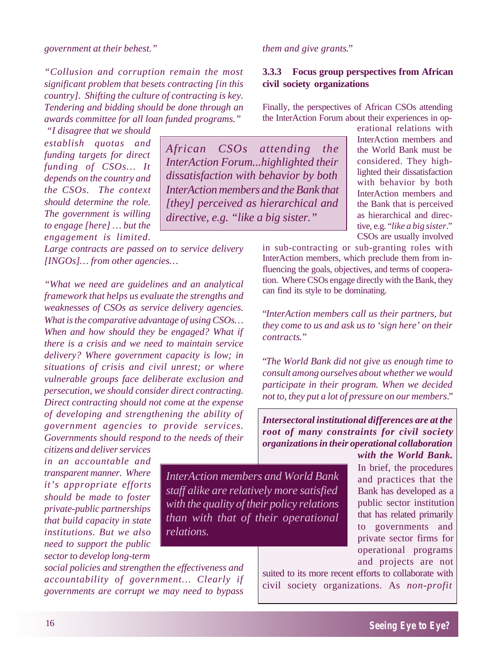#### *government at their behest."*

*"Collusion and corruption remain the most significant problem that besets contracting [in this country]. Shifting the culture of contracting is key. Tendering and bidding should be done through an awards committee for all loan funded programs."*

 *"I disagree that we should establish quotas and funding targets for direct funding of CSOs… It depends on the country and the CSOs. The context should determine the role. The government is willing to engage [here] … but the engagement is limited.*

*Large contracts are passed on to service delivery [INGOs]… from other agencies…*

*"What we need are guidelines and an analytical framework that helps us evaluate the strengths and weaknesses of CSOs as service delivery agencies. What is the comparative advantage of using CSOs… When and how should they be engaged? What if there is a crisis and we need to maintain service delivery? Where government capacity is low; in situations of crisis and civil unrest; or where vulnerable groups face deliberate exclusion and persecution, we should consider direct contracting. Direct contracting should not come at the expense of developing and strengthening the ability of government agencies to provide services. Governments should respond to the needs of their citizens and deliver services*

*in an accountable and transparent manner. Where it's appropriate efforts should be made to foster private-public partnerships that build capacity in state institutions. But we also need to support the public sector to develop long-term*

*InterAction members and World Bank staff alike are relatively more satisfied with the quality of their policy relations than with that of their operational relations.*

*social policies and strengthen the effectiveness and accountability of government… Clearly if governments are corrupt we may need to bypass*

#### *them and give grants*."

#### **3.3.3 Focus group perspectives from African civil society organizations**

Finally, the perspectives of African CSOs attending the InterAction Forum about their experiences in operational relations with

InterAction members and the World Bank must be considered. They high-*African CSOs attending the InterAction Forum...highlighted their dissatisfaction with behavior by both InterAction members and the Bank that [they] perceived as hierarchical and directive, e.g. "like a big sister."*

lighted their dissatisfaction with behavior by both InterAction members and the Bank that is perceived as hierarchical and directive, e.g. "*like a big sister*." CSOs are usually involved in sub-contracting or sub-granting roles with

InterAction members, which preclude them from influencing the goals, objectives, and terms of cooperation. Where CSOs engage directly with the Bank, they can find its style to be dominating.

"*InterAction members call us their partners, but they come to us and ask us to 'sign here' on their contracts*."

"*The World Bank did not give us enough time to consult among ourselves about whether we would participate in their program. When we decided not to, they put a lot of pressure on our members*."

*Intersectoral institutional differences are at the root of many constraints for civil society organizations in their operational collaboration with the World Bank.*

> In brief, the procedures and practices that the Bank has developed as a public sector institution that has related primarily to governments and private sector firms for operational programs and projects are not

suited to its more recent efforts to collaborate with civil society organizations. As *non-profit*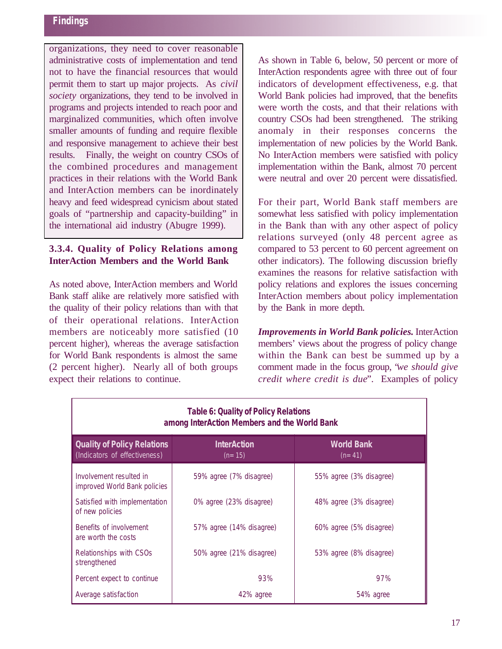organizations, they need to cover reasonable administrative costs of implementation and tend not to have the financial resources that would permit them to start up major projects. As *civil society* organizations, they tend to be involved in programs and projects intended to reach poor and marginalized communities, which often involve smaller amounts of funding and require flexible and responsive management to achieve their best results. Finally, the weight on country CSOs of the combined procedures and management practices in their relations with the World Bank and InterAction members can be inordinately heavy and feed widespread cynicism about stated goals of "partnership and capacity-building" in the international aid industry (Abugre 1999).

## **3.3.4. Quality of Policy Relations among InterAction Members and the World Bank**

As noted above, InterAction members and World Bank staff alike are relatively more satisfied with the quality of their policy relations than with that of their operational relations. InterAction members are noticeably more satisfied (10 percent higher), whereas the average satisfaction for World Bank respondents is almost the same (2 percent higher). Nearly all of both groups expect their relations to continue.

As shown in Table 6, below, 50 percent or more of InterAction respondents agree with three out of four indicators of development effectiveness, e.g. that World Bank policies had improved, that the benefits were worth the costs, and that their relations with country CSOs had been strengthened. The striking anomaly in their responses concerns the implementation of new policies by the World Bank. No InterAction members were satisfied with policy implementation within the Bank, almost 70 percent were neutral and over 20 percent were dissatisfied.

For their part, World Bank staff members are somewhat less satisfied with policy implementation in the Bank than with any other aspect of policy relations surveyed (only 48 percent agree as compared to 53 percent to 60 percent agreement on other indicators). The following discussion briefly examines the reasons for relative satisfaction with policy relations and explores the issues concerning InterAction members about policy implementation by the Bank in more depth.

*Improvements in World Bank policies.* InterAction members' views about the progress of policy change within the Bank can best be summed up by a comment made in the focus group, "*we should give credit where credit is due*". Examples of policy

| <b>Table 6: Quality of Policy Relations</b><br>among InterAction Members and the World Bank |                                |                               |  |  |  |
|---------------------------------------------------------------------------------------------|--------------------------------|-------------------------------|--|--|--|
| <b>Quality of Policy Relations</b><br>(Indicators of effectiveness)                         | <b>InterAction</b><br>$(n=15)$ | <b>World Bank</b><br>$(n=41)$ |  |  |  |
| Involvement resulted in<br>improved World Bank policies                                     | 59% agree (7% disagree)        | 55% agree (3% disagree)       |  |  |  |
| Satisfied with implementation<br>of new policies                                            | 0% agree (23% disagree)        | 48% agree (3% disagree)       |  |  |  |
| Benefits of involvement<br>are worth the costs                                              | 57% agree (14% disagree)       | 60% agree (5% disagree)       |  |  |  |
| Relationships with CSOs<br>strengthened                                                     | 50% agree (21% disagree)       | 53% agree (8% disagree)       |  |  |  |
| Percent expect to continue                                                                  | 93%                            | 97%                           |  |  |  |
| Average satisfaction                                                                        | 42% agree                      | 54% agree                     |  |  |  |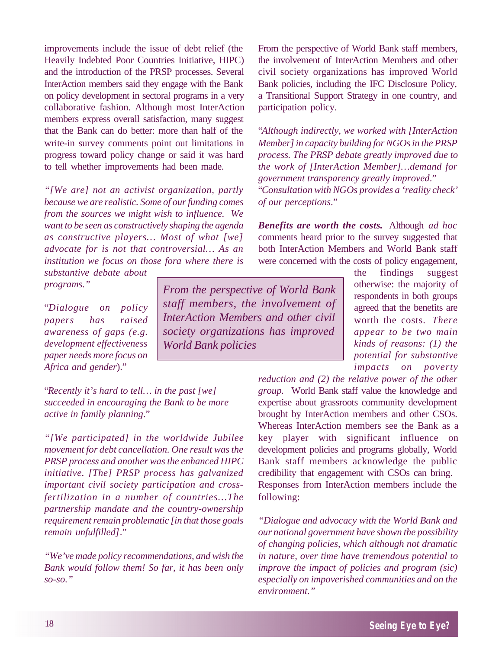improvements include the issue of debt relief (the Heavily Indebted Poor Countries Initiative, HIPC) and the introduction of the PRSP processes. Several InterAction members said they engage with the Bank on policy development in sectoral programs in a very collaborative fashion. Although most InterAction members express overall satisfaction, many suggest that the Bank can do better: more than half of the write-in survey comments point out limitations in progress toward policy change or said it was hard to tell whether improvements had been made.

*"[We are] not an activist organization, partly because we are realistic. Some of our funding comes from the sources we might wish to influence. We want to be seen as constructively shaping the agenda as constructive players… Most of what [we] advocate for is not that controversial… As an institution we focus on those fora where there is*

*substantive debate about programs."*

"*Dialogue on policy papers has raised awareness of gaps (e.g. development effectiveness paper needs more focus on Africa and gender*)."

"*Recently it's hard to tell… in the past [we] succeeded in encouraging the Bank to be more active in family planning*."

*"[We participated] in the worldwide Jubilee movement for debt cancellation. One result was the PRSP process and another was the enhanced HIPC initiative. [The] PRSP process has galvanized important civil society participation and crossfertilization in a number of countries…The partnership mandate and the country-ownership requirement remain problematic [in that those goals remain unfulfilled]*."

*"We've made policy recommendations, and wish the Bank would follow them! So far, it has been only so-so."*

From the perspective of World Bank staff members, the involvement of InterAction Members and other civil society organizations has improved World Bank policies, including the IFC Disclosure Policy, a Transitional Support Strategy in one country, and participation policy.

"*Although indirectly, we worked with [InterAction Member] in capacity building for NGOs in the PRSP process. The PRSP debate greatly improved due to the work of [InterAction Member]…demand for government transparency greatly improved*." "*Consultation with NGOs provides a 'reality check' of our perceptions*."

*Benefits are worth the costs***.** Although *ad hoc* comments heard prior to the survey suggested that both InterAction Members and World Bank staff were concerned with the costs of policy engagement,

*From the perspective of World Bank staff members, the involvement of InterAction Members and other civil society organizations has improved World Bank policies*

the findings suggest otherwise: the majority of respondents in both groups agreed that the benefits are worth the costs. *There appear to be two main kinds of reasons: (1) the potential for substantive impacts on poverty*

*reduction and (2) the relative power of the other group.* World Bank staff value the knowledge and expertise about grassroots community development brought by InterAction members and other CSOs. Whereas InterAction members see the Bank as a key player with significant influence on development policies and programs globally, World Bank staff members acknowledge the public credibility that engagement with CSOs can bring. Responses from InterAction members include the following:

*"Dialogue and advocacy with the World Bank and our national government have shown the possibility of changing policies, which although not dramatic in nature, over time have tremendous potential to improve the impact of policies and program (sic) especially on impoverished communities and on the environment."*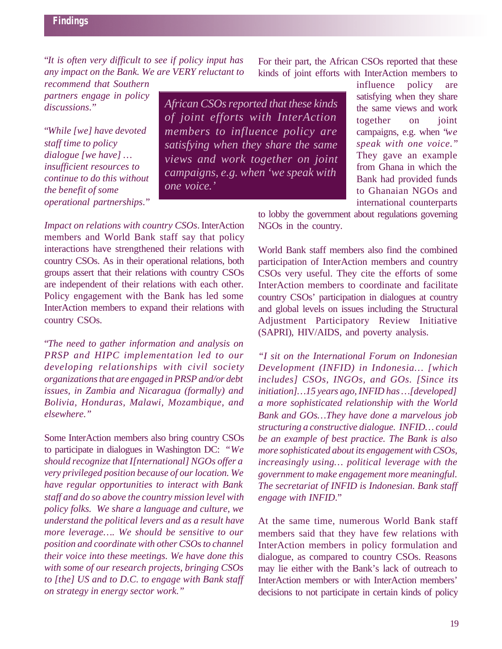"*It is often very difficult to see if policy input has any impact on the Bank. We are VERY reluctant to*

*recommend that Southern partners engage in policy discussions*."

"*While [we] have devoted staff time to policy dialogue [we have] … insufficient resources to continue to do this without the benefit of some operational partnerships*."

*African CSOs reported that these kinds of joint efforts with InterAction members to influence policy are satisfying when they share the same views and work together on joint campaigns, e.g. when 'we speak with one voice.'*

*Impact on relations with country CSOs*. InterAction members and World Bank staff say that policy interactions have strengthened their relations with country CSOs. As in their operational relations, both groups assert that their relations with country CSOs are independent of their relations with each other. Policy engagement with the Bank has led some InterAction members to expand their relations with country CSOs.

"*The need to gather information and analysis on PRSP and HIPC implementation led to our developing relationships with civil society organizations that are engaged in PRSP and/or debt issues, in Zambia and Nicaragua (formally) and Bolivia, Honduras, Malawi, Mozambique, and elsewhere."*

Some InterAction members also bring country CSOs to participate in dialogues in Washington DC: *"We should recognize that I[nternational] NGOs offer a very privileged position because of our location. We have regular opportunities to interact with Bank staff and do so above the country mission level with policy folks. We share a language and culture, we understand the political levers and as a result have more leverage…. We should be sensitive to our position and coordinate with other CSOs to channel their voice into these meetings. We have done this with some of our research projects, bringing CSOs to [the] US and to D.C. to engage with Bank staff on strategy in energy sector work."*

For their part, the African CSOs reported that these kinds of joint efforts with InterAction members to

> influence policy are satisfying when they share the same views and work together on joint campaigns, e.g. when "*we speak with one voice.*" They gave an example from Ghana in which the Bank had provided funds to Ghanaian NGOs and international counterparts

to lobby the government about regulations governing NGOs in the country.

World Bank staff members also find the combined participation of InterAction members and country CSOs very useful. They cite the efforts of some InterAction members to coordinate and facilitate country CSOs' participation in dialogues at country and global levels on issues including the Structural Adjustment Participatory Review Initiative (SAPRI), HIV/AIDS, and poverty analysis.

*"I sit on the International Forum on Indonesian Development (INFID) in Indonesia… [which includes] CSOs, INGOs, and GOs. [Since its initiation]…15 years ago, INFID has …[developed] a more sophisticated relationship with the World Bank and GOs…They have done a marvelous job structuring a constructive dialogue. INFID… could be an example of best practice. The Bank is also more sophisticated about its engagement with CSOs, increasingly using… political leverage with the government to make engagement more meaningful. The secretariat of INFID is Indonesian. Bank staff engage with INFID*."

At the same time, numerous World Bank staff members said that they have few relations with InterAction members in policy formulation and dialogue, as compared to country CSOs. Reasons may lie either with the Bank's lack of outreach to InterAction members or with InterAction members' decisions to not participate in certain kinds of policy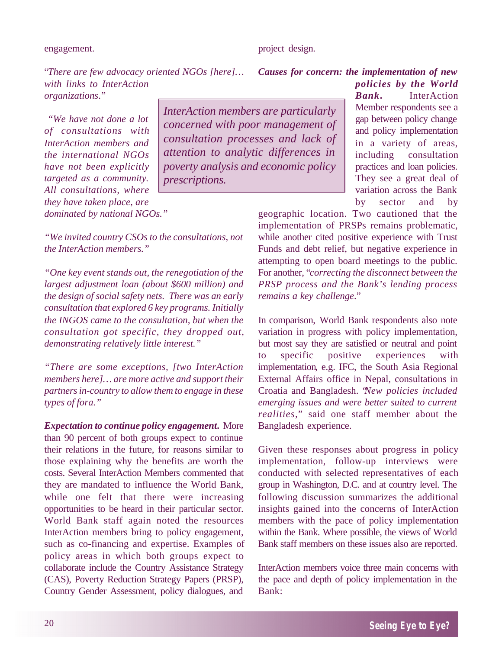#### engagement.

project design.

"*There are few advocacy oriented NGOs [here]… with links to InterAction organizations*."

 *"We have not done a lot of consultations with InterAction members and the international NGOs have not been explicitly targeted as a community. All consultations, where they have taken place, are dominated by national NGOs."*

*InterAction members are particularly concerned with poor management of consultation processes and lack of attention to analytic differences in poverty analysis and economic policy prescriptions.*

*policies by the World Bank***.** InterAction Member respondents see a gap between policy change and policy implementation in a variety of areas, including consultation practices and loan policies. They see a great deal of variation across the Bank by sector and by

geographic location. Two cautioned that the implementation of PRSPs remains problematic, while another cited positive experience with Trust Funds and debt relief, but negative experience in attempting to open board meetings to the public. For another, "*correcting the disconnect between the PRSP process and the Bank's lending process remains a key challenge*."

*Causes for concern: the implementation of new*

In comparison, World Bank respondents also note variation in progress with policy implementation, but most say they are satisfied or neutral and point to specific positive experiences with implementation, e.g. IFC, the South Asia Regional External Affairs office in Nepal, consultations in Croatia and Bangladesh. "*New policies included emerging issues and were better suited to current realities,*" said one staff member about the Bangladesh experience.

Given these responses about progress in policy implementation, follow-up interviews were conducted with selected representatives of each group in Washington, D.C. and at country level. The following discussion summarizes the additional insights gained into the concerns of InterAction members with the pace of policy implementation within the Bank. Where possible, the views of World Bank staff members on these issues also are reported.

InterAction members voice three main concerns with the pace and depth of policy implementation in the Bank:

*"We invited country CSOs to the consultations, not the InterAction members."*

*"One key event stands out, the renegotiation of the largest adjustment loan (about \$600 million) and the design of social safety nets. There was an early consultation that explored 6 key programs. Initially the INGOS came to the consultation, but when the consultation got specific, they dropped out, demonstrating relatively little interest."*

*"There are some exceptions, [two InterAction members here]… are more active and support their partners in-country to allow them to engage in these types of fora."*

*Expectation to continue policy engagement***.** More than 90 percent of both groups expect to continue their relations in the future, for reasons similar to those explaining why the benefits are worth the costs. Several InterAction Members commented that they are mandated to influence the World Bank, while one felt that there were increasing opportunities to be heard in their particular sector. World Bank staff again noted the resources InterAction members bring to policy engagement, such as co-financing and expertise. Examples of policy areas in which both groups expect to collaborate include the Country Assistance Strategy (CAS), Poverty Reduction Strategy Papers (PRSP), Country Gender Assessment, policy dialogues, and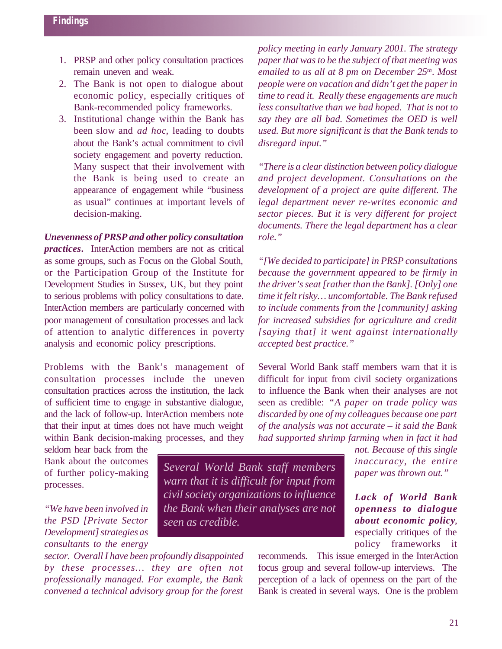- 1. PRSP and other policy consultation practices remain uneven and weak.
- 2. The Bank is not open to dialogue about economic policy, especially critiques of Bank-recommended policy frameworks.
- 3. Institutional change within the Bank has been slow and *ad hoc*, leading to doubts about the Bank's actual commitment to civil society engagement and poverty reduction. Many suspect that their involvement with the Bank is being used to create an appearance of engagement while "business as usual" continues at important levels of decision-making.

*Unevenness of PRSP and other policy consultation practices***.** InterAction members are not as critical as some groups, such as Focus on the Global South, or the Participation Group of the Institute for Development Studies in Sussex, UK, but they point to serious problems with policy consultations to date. InterAction members are particularly concerned with poor management of consultation processes and lack of attention to analytic differences in poverty analysis and economic policy prescriptions.

Problems with the Bank's management of consultation processes include the uneven consultation practices across the institution, the lack of sufficient time to engage in substantive dialogue, and the lack of follow-up. InterAction members note that their input at times does not have much weight within Bank decision-making processes, and they

seldom hear back from the Bank about the outcomes of further policy-making processes.

*"We have been involved in the PSD [Private Sector Development] strategies as consultants to the energy*

*sector. Overall I have been profoundly disappointed by these processes… they are often not professionally managed. For example, the Bank convened a technical advisory group for the forest* *policy meeting in early January 2001. The strategy paper that was to be the subject of that meeting was emailed to us all at 8 pm on December 25th. Most people were on vacation and didn't get the paper in time to read it. Really these engagements are much less consultative than we had hoped. That is not to say they are all bad. Sometimes the OED is well used. But more significant is that the Bank tends to disregard input."*

*"There is a clear distinction between policy dialogue and project development. Consultations on the development of a project are quite different. The legal department never re-writes economic and sector pieces. But it is very different for project documents. There the legal department has a clear role."*

*"[We decided to participate] in PRSP consultations because the government appeared to be firmly in the driver's seat [rather than the Bank]. [Only] one time it felt risky… uncomfortable. The Bank refused to include comments from the [community] asking for increased subsidies for agriculture and credit [saying that] it went against internationally accepted best practice."*

Several World Bank staff members warn that it is difficult for input from civil society organizations to influence the Bank when their analyses are not seen as credible: *"A paper on trade policy was discarded by one of my colleagues because one part of the analysis was not accurate – it said the Bank had supported shrimp farming when in fact it had*

> *not. Because of this single inaccuracy, the entire paper was thrown out."*

*Lack of World Bank openness to dialogue about economic policy*, especially critiques of the policy frameworks it

recommends. This issue emerged in the InterAction focus group and several follow-up interviews. The perception of a lack of openness on the part of the Bank is created in several ways. One is the problem

*Several World Bank staff members warn that it is difficult for input from civil society organizations to influence the Bank when their analyses are not seen as credible.*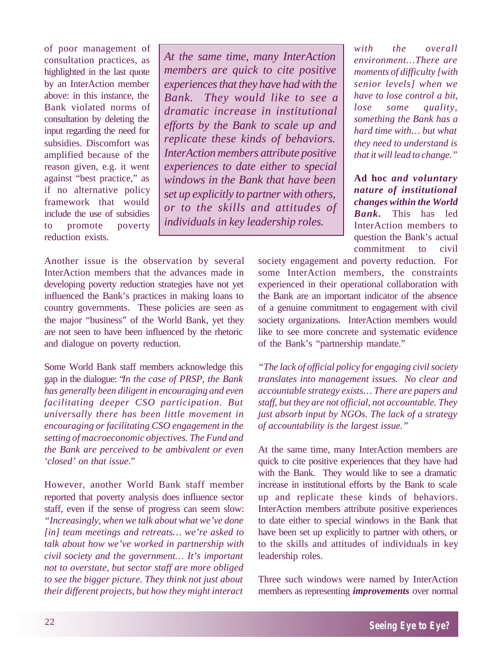of poor management of consultation practices, as highlighted in the last quote by an InterAction member above: in this instance, the Bank violated norms of consultation by deleting the input regarding the need for subsidies. Discomfort was amplified because of the reason given, e.g. it went against "best practice," as if no alternative policy framework that would include the use of subsidies to promote poverty reduction exists.

*At the same time, many InterAction members are quick to cite positive experiences that they have had with the Bank. They would like to see a dramatic increase in institutional efforts by the Bank to scale up and replicate these kinds of behaviors. InterAction members attribute positive experiences to date either to special windows in the Bank that have been set up explicitly to partner with others, or to the skills and attitudes of individuals in key leadership roles.*

Another issue is the observation by several InterAction members that the advances made in developing poverty reduction strategies have not yet influenced the Bank's practices in making loans to country governments. These policies are seen as the major "business" of the World Bank, yet they are not seen to have been influenced by the rhetoric and dialogue on poverty reduction.

Some World Bank staff members acknowledge this gap in the dialogue: "*In the case of PRSP, the Bank has generally been diligent in encouraging and even facilitating deeper CSO participation. But universally there has been little movement in encouraging or facilitating CSO engagement in the setting of macroeconomic objectives. The Fund and the Bank are perceived to be ambivalent or even 'closed' on that issue*."

However, another World Bank staff member reported that poverty analysis does influence sector staff, even if the sense of progress can seem slow: *"Increasingly, when we talk about what we've done [in] team meetings and retreats… we're asked to talk about how we've worked in partnership with civil society and the government… It's important not to overstate, but sector staff are more obliged to see the bigger picture. They think not just about their different projects, but how they might interact*

*with the overall environment…There are moments of difficulty [with senior levels] when we have to lose control a bit, lose some quality, something the Bank has a hard time with… but what they need to understand is that it will lead to change."*

**Ad hoc** *and voluntary nature of institutional changes within the World Bank.* This has led InterAction members to question the Bank's actual commitment to civil

society engagement and poverty reduction. For some InterAction members, the constraints experienced in their operational collaboration with the Bank are an important indicator of the absence of a genuine commitment to engagement with civil society organizations. InterAction members would like to see more concrete and systematic evidence of the Bank's "partnership mandate."

*"The lack of official policy for engaging civil society translates into management issues. No clear and accountable strategy exists… There are papers and staff, but they are not official, not accountable. They just absorb input by NGOs. The lack of a strategy of accountability is the largest issue."*

At the same time, many InterAction members are quick to cite positive experiences that they have had with the Bank. They would like to see a dramatic increase in institutional efforts by the Bank to scale up and replicate these kinds of behaviors. InterAction members attribute positive experiences to date either to special windows in the Bank that have been set up explicitly to partner with others, or to the skills and attitudes of individuals in key leadership roles.

Three such windows were named by InterAction members as representing *improvements* over normal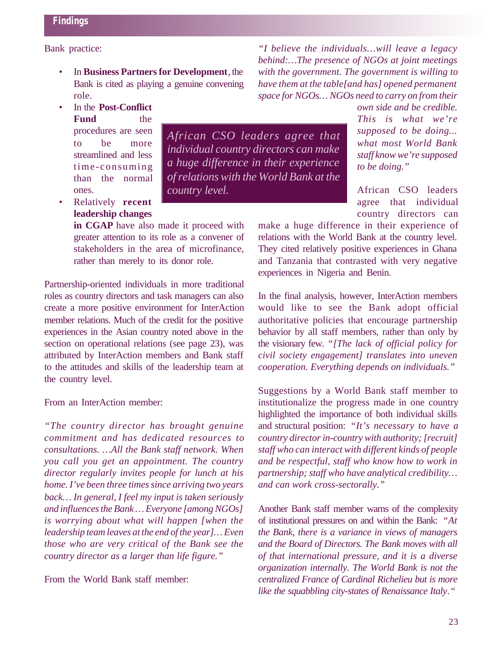#### Bank practice:

- In **Business Partners for Development**, the Bank is cited as playing a genuine convening role.
- In the **Post-Conflict Fund** the procedures are seen to be more streamlined and less time-consuming than the normal ones.

*African CSO leaders agree that individual country directors can make a huge difference in their experience of relations with the World Bank at the country level.*

• Relatively **recent leadership changes**

**in CGAP** have also made it proceed with greater attention to its role as a convener of stakeholders in the area of microfinance, rather than merely to its donor role.

Partnership-oriented individuals in more traditional roles as country directors and task managers can also create a more positive environment for InterAction member relations. Much of the credit for the positive experiences in the Asian country noted above in the section on operational relations (see page 23), was attributed by InterAction members and Bank staff to the attitudes and skills of the leadership team at the country level.

#### From an InterAction member:

*"The country director has brought genuine commitment and has dedicated resources to consultations. …All the Bank staff network. When you call you get an appointment. The country director regularly invites people for lunch at his home. I've been three times since arriving two years back… In general, I feel my input is taken seriously and influences the Bank … Everyone [among NGOs] is worrying about what will happen [when the leadership team leaves at the end of the year]… Even those who are very critical of the Bank see the country director as a larger than life figure."*

From the World Bank staff member:

*"I believe the individuals…will leave a legacy behind:…The presence of NGOs at joint meetings with the government. The government is willing to have them at the table[and has] opened permanent space for NGOs… NGOs need to carry on from their*

> *own side and be credible. This is what we're supposed to be doing... what most World Bank staff know we're supposed to be doing."*

African CSO leaders agree that individual country directors can

make a huge difference in their experience of relations with the World Bank at the country level. They cited relatively positive experiences in Ghana and Tanzania that contrasted with very negative experiences in Nigeria and Benin.

In the final analysis, however, InterAction members would like to see the Bank adopt official authoritative policies that encourage partnership behavior by all staff members, rather than only by the visionary few. *"[The lack of official policy for civil society engagement] translates into uneven cooperation. Everything depends on individuals."*

Suggestions by a World Bank staff member to institutionalize the progress made in one country highlighted the importance of both individual skills and structural position: *"It's necessary to have a country director in-country with authority; [recruit] staff who can interact with different kinds of people and be respectful, staff who know how to work in partnership; staff who have analytical credibility… and can work cross-sectorally."*

Another Bank staff member warns of the complexity of institutional pressures on and within the Bank: *"At the Bank, there is a variance in views of managers and the Board of Directors. The Bank moves with all of that international pressure, and it is a diverse organization internally. The World Bank is not the centralized France of Cardinal Richelieu but is more like the squabbling city-states of Renaissance Italy."*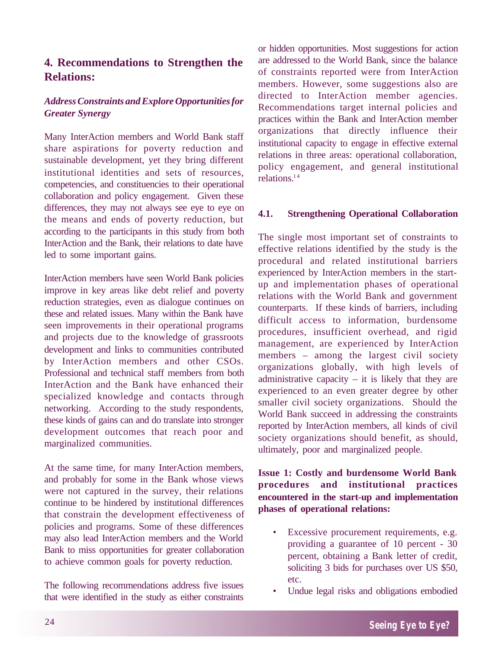## **4. Recommendations to Strengthen the Relations:**

## *Address Constraints and Explore Opportunities for Greater Synergy*

Many InterAction members and World Bank staff share aspirations for poverty reduction and sustainable development, yet they bring different institutional identities and sets of resources, competencies, and constituencies to their operational collaboration and policy engagement. Given these differences, they may not always see eye to eye on the means and ends of poverty reduction, but according to the participants in this study from both InterAction and the Bank, their relations to date have led to some important gains.

InterAction members have seen World Bank policies improve in key areas like debt relief and poverty reduction strategies, even as dialogue continues on these and related issues. Many within the Bank have seen improvements in their operational programs and projects due to the knowledge of grassroots development and links to communities contributed by InterAction members and other CSOs. Professional and technical staff members from both InterAction and the Bank have enhanced their specialized knowledge and contacts through networking. According to the study respondents, these kinds of gains can and do translate into stronger development outcomes that reach poor and marginalized communities.

At the same time, for many InterAction members, and probably for some in the Bank whose views were not captured in the survey, their relations continue to be hindered by institutional differences that constrain the development effectiveness of policies and programs. Some of these differences may also lead InterAction members and the World Bank to miss opportunities for greater collaboration to achieve common goals for poverty reduction.

The following recommendations address five issues that were identified in the study as either constraints

or hidden opportunities. Most suggestions for action are addressed to the World Bank, since the balance of constraints reported were from InterAction members. However, some suggestions also are directed to InterAction member agencies. Recommendations target internal policies and practices within the Bank and InterAction member organizations that directly influence their institutional capacity to engage in effective external relations in three areas: operational collaboration, policy engagement, and general institutional relations<sup>14</sup>

#### **4.1. Strengthening Operational Collaboration**

The single most important set of constraints to effective relations identified by the study is the procedural and related institutional barriers experienced by InterAction members in the startup and implementation phases of operational relations with the World Bank and government counterparts. If these kinds of barriers, including difficult access to information, burdensome procedures, insufficient overhead, and rigid management, are experienced by InterAction members – among the largest civil society organizations globally, with high levels of administrative capacity  $-$  it is likely that they are experienced to an even greater degree by other smaller civil society organizations. Should the World Bank succeed in addressing the constraints reported by InterAction members, all kinds of civil society organizations should benefit, as should, ultimately, poor and marginalized people.

## **Issue 1: Costly and burdensome World Bank procedures and institutional practices encountered in the start-up and implementation phases of operational relations:**

- Excessive procurement requirements, e.g. providing a guarantee of 10 percent - 30 percent, obtaining a Bank letter of credit, soliciting 3 bids for purchases over US \$50, etc.
- Undue legal risks and obligations embodied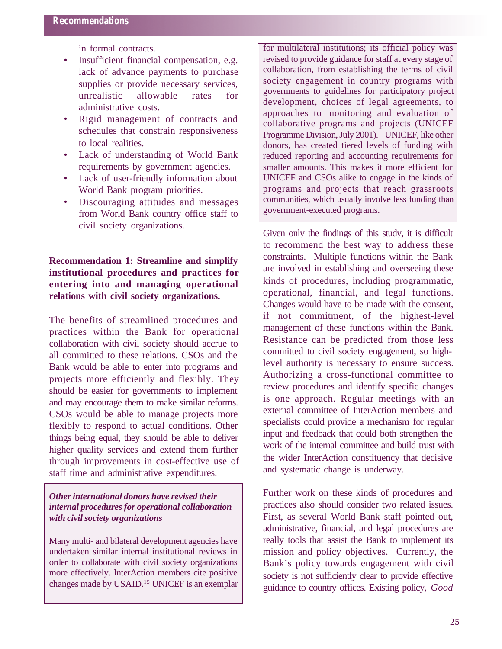in formal contracts.

- Insufficient financial compensation, e.g. lack of advance payments to purchase supplies or provide necessary services, unrealistic allowable rates for administrative costs.
- Rigid management of contracts and schedules that constrain responsiveness to local realities.
- Lack of understanding of World Bank requirements by government agencies.
- Lack of user-friendly information about World Bank program priorities.
- Discouraging attitudes and messages from World Bank country office staff to civil society organizations.

## **Recommendation 1: Streamline and simplify institutional procedures and practices for entering into and managing operational relations with civil society organizations.**

The benefits of streamlined procedures and practices within the Bank for operational collaboration with civil society should accrue to all committed to these relations. CSOs and the Bank would be able to enter into programs and projects more efficiently and flexibly. They should be easier for governments to implement and may encourage them to make similar reforms. CSOs would be able to manage projects more flexibly to respond to actual conditions. Other things being equal, they should be able to deliver higher quality services and extend them further through improvements in cost-effective use of staff time and administrative expenditures.

#### *Other international donors have revised their internal procedures for operational collaboration with civil society organizations*

Many multi- and bilateral development agencies have undertaken similar internal institutional reviews in order to collaborate with civil society organizations more effectively. InterAction members cite positive changes made by USAID.<sup>15</sup> UNICEF is an exemplar for multilateral institutions; its official policy was revised to provide guidance for staff at every stage of collaboration, from establishing the terms of civil society engagement in country programs with governments to guidelines for participatory project development, choices of legal agreements, to approaches to monitoring and evaluation of collaborative programs and projects (UNICEF Programme Division, July 2001). UNICEF, like other donors, has created tiered levels of funding with reduced reporting and accounting requirements for smaller amounts. This makes it more efficient for UNICEF and CSOs alike to engage in the kinds of programs and projects that reach grassroots communities, which usually involve less funding than government-executed programs.

Given only the findings of this study, it is difficult to recommend the best way to address these constraints. Multiple functions within the Bank are involved in establishing and overseeing these kinds of procedures, including programmatic, operational, financial, and legal functions. Changes would have to be made with the consent, if not commitment, of the highest-level management of these functions within the Bank. Resistance can be predicted from those less committed to civil society engagement, so highlevel authority is necessary to ensure success. Authorizing a cross-functional committee to review procedures and identify specific changes is one approach. Regular meetings with an external committee of InterAction members and specialists could provide a mechanism for regular input and feedback that could both strengthen the work of the internal committee and build trust with the wider InterAction constituency that decisive and systematic change is underway.

Further work on these kinds of procedures and practices also should consider two related issues. First, as several World Bank staff pointed out, administrative, financial, and legal procedures are really tools that assist the Bank to implement its mission and policy objectives. Currently, the Bank's policy towards engagement with civil society is not sufficiently clear to provide effective guidance to country offices. Existing policy, *Good*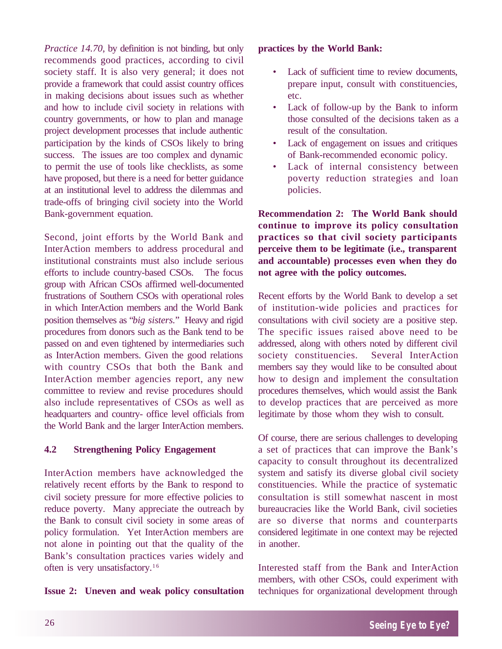*Practice 14.70*, by definition is not binding, but only recommends good practices, according to civil society staff. It is also very general; it does not provide a framework that could assist country offices in making decisions about issues such as whether and how to include civil society in relations with country governments, or how to plan and manage project development processes that include authentic participation by the kinds of CSOs likely to bring success. The issues are too complex and dynamic to permit the use of tools like checklists, as some have proposed, but there is a need for better guidance at an institutional level to address the dilemmas and trade-offs of bringing civil society into the World Bank-government equation.

Second, joint efforts by the World Bank and InterAction members to address procedural and institutional constraints must also include serious efforts to include country-based CSOs. The focus group with African CSOs affirmed well-documented frustrations of Southern CSOs with operational roles in which InterAction members and the World Bank position themselves as "*big sisters.*" Heavy and rigid procedures from donors such as the Bank tend to be passed on and even tightened by intermediaries such as InterAction members. Given the good relations with country CSOs that both the Bank and InterAction member agencies report, any new committee to review and revise procedures should also include representatives of CSOs as well as headquarters and country- office level officials from the World Bank and the larger InterAction members.

## **4.2 Strengthening Policy Engagement**

InterAction members have acknowledged the relatively recent efforts by the Bank to respond to civil society pressure for more effective policies to reduce poverty. Many appreciate the outreach by the Bank to consult civil society in some areas of policy formulation. Yet InterAction members are not alone in pointing out that the quality of the Bank's consultation practices varies widely and often is very unsatisfactory.<sup>16</sup>

#### **Issue 2: Uneven and weak policy consultation**

#### **practices by the World Bank:**

- Lack of sufficient time to review documents, prepare input, consult with constituencies, etc.
- Lack of follow-up by the Bank to inform those consulted of the decisions taken as a result of the consultation.
- Lack of engagement on issues and critiques of Bank-recommended economic policy.
- Lack of internal consistency between poverty reduction strategies and loan policies.

**Recommendation 2: The World Bank should continue to improve its policy consultation practices so that civil society participants perceive them to be legitimate (i.e., transparent and accountable) processes even when they do not agree with the policy outcomes.**

Recent efforts by the World Bank to develop a set of institution-wide policies and practices for consultations with civil society are a positive step. The specific issues raised above need to be addressed, along with others noted by different civil society constituencies. Several InterAction members say they would like to be consulted about how to design and implement the consultation procedures themselves, which would assist the Bank to develop practices that are perceived as more legitimate by those whom they wish to consult.

Of course, there are serious challenges to developing a set of practices that can improve the Bank's capacity to consult throughout its decentralized system and satisfy its diverse global civil society constituencies. While the practice of systematic consultation is still somewhat nascent in most bureaucracies like the World Bank, civil societies are so diverse that norms and counterparts considered legitimate in one context may be rejected in another.

Interested staff from the Bank and InterAction members, with other CSOs, could experiment with techniques for organizational development through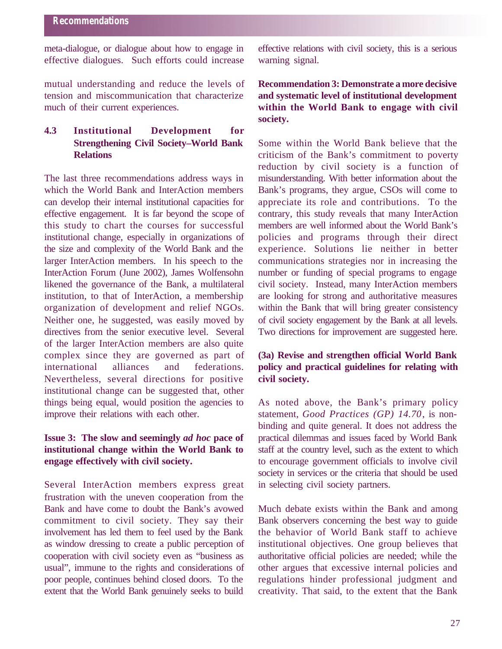meta-dialogue, or dialogue about how to engage in effective dialogues. Such efforts could increase

mutual understanding and reduce the levels of tension and miscommunication that characterize much of their current experiences.

## **4.3 Institutional Development for Strengthening Civil Society–World Bank Relations**

The last three recommendations address ways in which the World Bank and InterAction members can develop their internal institutional capacities for effective engagement. It is far beyond the scope of this study to chart the courses for successful institutional change, especially in organizations of the size and complexity of the World Bank and the larger InterAction members. In his speech to the InterAction Forum (June 2002), James Wolfensohn likened the governance of the Bank, a multilateral institution, to that of InterAction, a membership organization of development and relief NGOs. Neither one, he suggested, was easily moved by directives from the senior executive level. Several of the larger InterAction members are also quite complex since they are governed as part of international alliances and federations. Nevertheless, several directions for positive institutional change can be suggested that, other things being equal, would position the agencies to improve their relations with each other.

#### **Issue 3: The slow and seemingly** *ad hoc* **pace of institutional change within the World Bank to engage effectively with civil society.**

Several InterAction members express great frustration with the uneven cooperation from the Bank and have come to doubt the Bank's avowed commitment to civil society. They say their involvement has led them to feel used by the Bank as window dressing to create a public perception of cooperation with civil society even as "business as usual", immune to the rights and considerations of poor people, continues behind closed doors. To the extent that the World Bank genuinely seeks to build

effective relations with civil society, this is a serious warning signal.

## **Recommendation 3: Demonstrate a more decisive and systematic level of institutional development within the World Bank to engage with civil society.**

Some within the World Bank believe that the criticism of the Bank's commitment to poverty reduction by civil society is a function of misunderstanding. With better information about the Bank's programs, they argue, CSOs will come to appreciate its role and contributions. To the contrary, this study reveals that many InterAction members are well informed about the World Bank's policies and programs through their direct experience. Solutions lie neither in better communications strategies nor in increasing the number or funding of special programs to engage civil society. Instead, many InterAction members are looking for strong and authoritative measures within the Bank that will bring greater consistency of civil society engagement by the Bank at all levels. Two directions for improvement are suggested here.

#### **(3a) Revise and strengthen official World Bank policy and practical guidelines for relating with civil society.**

As noted above, the Bank's primary policy statement, *Good Practices (GP) 14.70*, is nonbinding and quite general. It does not address the practical dilemmas and issues faced by World Bank staff at the country level, such as the extent to which to encourage government officials to involve civil society in services or the criteria that should be used in selecting civil society partners.

Much debate exists within the Bank and among Bank observers concerning the best way to guide the behavior of World Bank staff to achieve institutional objectives. One group believes that authoritative official policies are needed; while the other argues that excessive internal policies and regulations hinder professional judgment and creativity. That said, to the extent that the Bank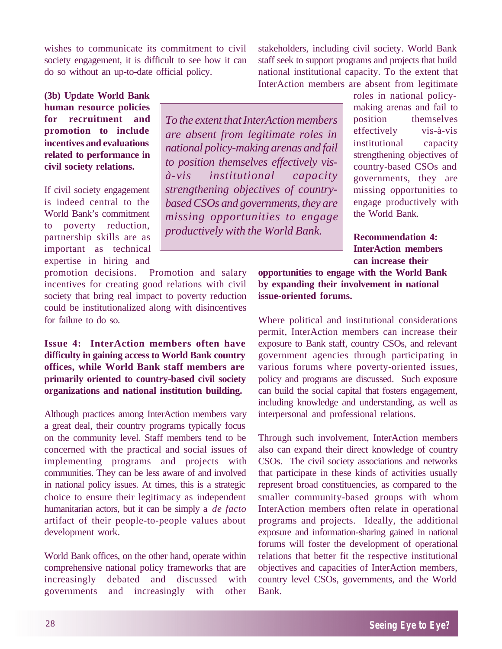wishes to communicate its commitment to civil society engagement, it is difficult to see how it can do so without an up-to-date official policy.

**(3b) Update World Bank human resource policies for recruitment and promotion to include incentives and evaluations related to performance in civil society relations.**

If civil society engagement is indeed central to the World Bank's commitment to poverty reduction, partnership skills are as important as technical expertise in hiring and

promotion decisions. Promotion and salary incentives for creating good relations with civil society that bring real impact to poverty reduction could be institutionalized along with disincentives for failure to do so.

## **Issue 4: InterAction members often have difficulty in gaining access to World Bank country offices, while World Bank staff members are primarily oriented to country-based civil society organizations and national institution building.**

Although practices among InterAction members vary a great deal, their country programs typically focus on the community level. Staff members tend to be concerned with the practical and social issues of implementing programs and projects with communities. They can be less aware of and involved in national policy issues. At times, this is a strategic choice to ensure their legitimacy as independent humanitarian actors, but it can be simply a *de facto* artifact of their people-to-people values about development work.

World Bank offices, on the other hand, operate within comprehensive national policy frameworks that are increasingly debated and discussed with governments and increasingly with other

*To the extent that InterAction members are absent from legitimate roles in national policy-making arenas and fail to position themselves effectively visà-vis institutional capacity strengthening objectives of countrybased CSOs and governments, they are missing opportunities to engage productively with the World Bank.*

InterAction members are absent from legitimate roles in national policymaking arenas and fail to position themselves effectively vis-à-vis institutional capacity strengthening objectives of country-based CSOs and governments, they are missing opportunities to engage productively with

> **Recommendation 4: InterAction members can increase their**

the World Bank.

**opportunities to engage with the World Bank by expanding their involvement in national issue-oriented forums.**

stakeholders, including civil society. World Bank staff seek to support programs and projects that build national institutional capacity. To the extent that

Where political and institutional considerations permit, InterAction members can increase their exposure to Bank staff, country CSOs, and relevant government agencies through participating in various forums where poverty-oriented issues, policy and programs are discussed. Such exposure can build the social capital that fosters engagement, including knowledge and understanding, as well as interpersonal and professional relations.

Through such involvement, InterAction members also can expand their direct knowledge of country CSOs. The civil society associations and networks that participate in these kinds of activities usually represent broad constituencies, as compared to the smaller community-based groups with whom InterAction members often relate in operational programs and projects. Ideally, the additional exposure and information-sharing gained in national forums will foster the development of operational relations that better fit the respective institutional objectives and capacities of InterAction members, country level CSOs, governments, and the World Bank.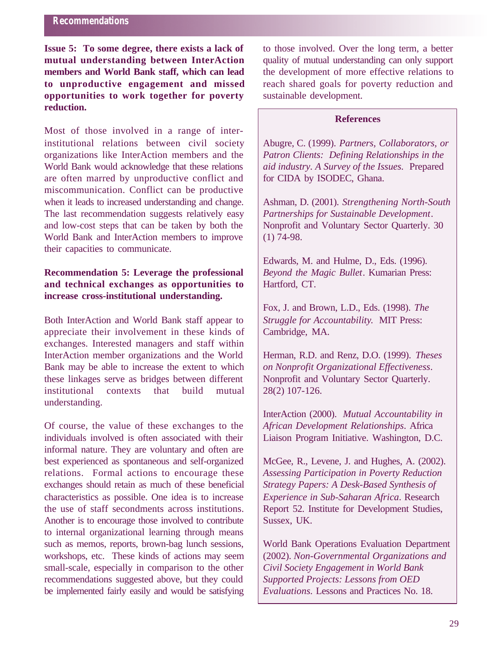**Issue 5: To some degree, there exists a lack of mutual understanding between InterAction members and World Bank staff, which can lead to unproductive engagement and missed opportunities to work together for poverty reduction.**

Most of those involved in a range of interinstitutional relations between civil society organizations like InterAction members and the World Bank would acknowledge that these relations are often marred by unproductive conflict and miscommunication. Conflict can be productive when it leads to increased understanding and change. The last recommendation suggests relatively easy and low-cost steps that can be taken by both the World Bank and InterAction members to improve their capacities to communicate.

#### **Recommendation 5: Leverage the professional and technical exchanges as opportunities to increase cross-institutional understanding.**

Both InterAction and World Bank staff appear to appreciate their involvement in these kinds of exchanges. Interested managers and staff within InterAction member organizations and the World Bank may be able to increase the extent to which these linkages serve as bridges between different institutional contexts that build mutual understanding.

Of course, the value of these exchanges to the individuals involved is often associated with their informal nature. They are voluntary and often are best experienced as spontaneous and self-organized relations. Formal actions to encourage these exchanges should retain as much of these beneficial characteristics as possible. One idea is to increase the use of staff secondments across institutions. Another is to encourage those involved to contribute to internal organizational learning through means such as memos, reports, brown-bag lunch sessions, workshops, etc. These kinds of actions may seem small-scale, especially in comparison to the other recommendations suggested above, but they could be implemented fairly easily and would be satisfying

to those involved. Over the long term, a better quality of mutual understanding can only support the development of more effective relations to reach shared goals for poverty reduction and sustainable development.

#### **References**

Abugre, C. (1999). *Partners, Collaborators, or Patron Clients: Defining Relationships in the aid industry. A Survey of the Issues.* Prepared for CIDA by ISODEC, Ghana.

Ashman, D. (2001). *Strengthening North-South Partnerships for Sustainable Development*. Nonprofit and Voluntary Sector Quarterly. 30 (1) 74-98.

Edwards, M. and Hulme, D., Eds. (1996). *Beyond the Magic Bullet*. Kumarian Press: Hartford, CT.

Fox, J. and Brown, L.D., Eds. (1998). *The Struggle for Accountability*. MIT Press: Cambridge, MA.

Herman, R.D. and Renz, D.O. (1999). *Theses on Nonprofit Organizational Effectiveness*. Nonprofit and Voluntary Sector Quarterly. 28(2) 107-126.

InterAction (2000). *Mutual Accountability in African Development Relationships*. Africa Liaison Program Initiative. Washington, D.C.

McGee, R., Levene, J. and Hughes, A. (2002). *Assessing Participation in Poverty Reduction Strategy Papers: A Desk-Based Synthesis of Experience in Sub-Saharan Africa*. Research Report 52. Institute for Development Studies, Sussex, UK.

World Bank Operations Evaluation Department (2002). *Non-Governmental Organizations and Civil Society Engagement in World Bank Supported Projects: Lessons from OED Evaluations.* Lessons and Practices No. 18.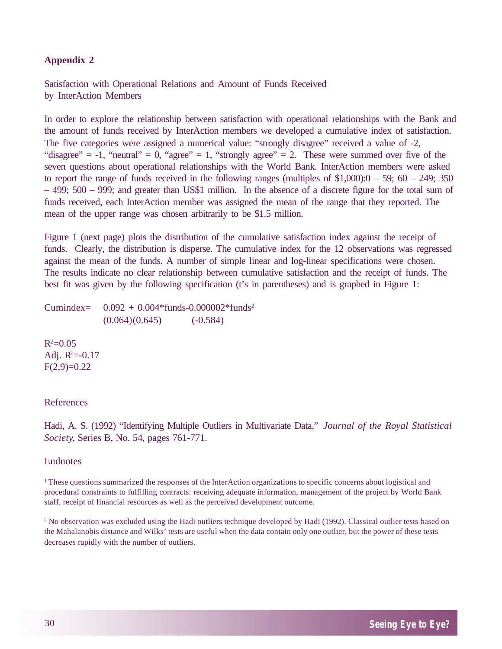#### **Appendix 2**

Satisfaction with Operational Relations and Amount of Funds Received by InterAction Members

In order to explore the relationship between satisfaction with operational relationships with the Bank and the amount of funds received by InterAction members we developed a cumulative index of satisfaction. The five categories were assigned a numerical value: "strongly disagree" received a value of -2, "disagree" =  $-1$ , "neutral" = 0, "agree" = 1, "strongly agree" = 2. These were summed over five of the seven questions about operational relationships with the World Bank. InterAction members were asked to report the range of funds received in the following ranges (multiples of  $$1,000$ ): $0 - 59$ ;  $60 - 249$ ; 350 – 499; 500 – 999; and greater than US\$1 million. In the absence of a discrete figure for the total sum of funds received, each InterAction member was assigned the mean of the range that they reported. The mean of the upper range was chosen arbitrarily to be \$1.5 million.

Figure 1 (next page) plots the distribution of the cumulative satisfaction index against the receipt of funds. Clearly, the distribution is disperse. The cumulative index for the 12 observations was regressed against the mean of the funds. A number of simple linear and log-linear specifications were chosen. The results indicate no clear relationship between cumulative satisfaction and the receipt of funds. The best fit was given by the following specification (t's in parentheses) and is graphed in Figure 1:

Cumindex=  $0.092 + 0.004*$ funds-0.000002 $*$ funds<sup>2</sup>  $(0.064)(0.645)$  (-0.584)

 $R^2 = 0.05$ Adj.  $R^2 = -0.17$  $F(2,9)=0.22$ 

#### References

Hadi, A. S. (1992) "Identifying Multiple Outliers in Multivariate Data," *Journal of the Royal Statistical Society*, Series B, No. 54, pages 761-771.

#### Endnotes

1 These questions summarized the responses of the InterAction organizations to specific concerns about logistical and procedural constraints to fulfilling contracts: receiving adequate information, management of the project by World Bank staff, receipt of financial resources as well as the perceived development outcome.

<sup>2</sup> No observation was excluded using the Hadi outliers technique developed by Hadi (1992). Classical outlier tests based on the Mahalanobis distance and Wilks' tests are useful when the data contain only one outlier, but the power of these tests decreases rapidly with the number of outliers.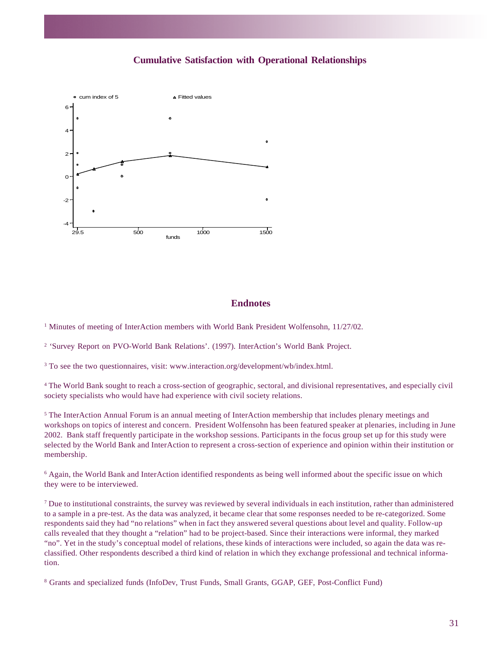#### **Cumulative Satisfaction with Operational Relationships**



#### **Endnotes**

<sup>1</sup> Minutes of meeting of InterAction members with World Bank President Wolfensohn, 11/27/02.

<sup>2</sup> 'Survey Report on PVO-World Bank Relations'. (1997). InterAction's World Bank Project.

<sup>3</sup> To see the two questionnaires, visit: www.interaction.org/development/wb/index.html.

4 The World Bank sought to reach a cross-section of geographic, sectoral, and divisional representatives, and especially civil society specialists who would have had experience with civil society relations.

<sup>5</sup> The InterAction Annual Forum is an annual meeting of InterAction membership that includes plenary meetings and workshops on topics of interest and concern. President Wolfensohn has been featured speaker at plenaries, including in June 2002. Bank staff frequently participate in the workshop sessions. Participants in the focus group set up for this study were selected by the World Bank and InterAction to represent a cross-section of experience and opinion within their institution or membership.

6 Again, the World Bank and InterAction identified respondents as being well informed about the specific issue on which they were to be interviewed.

The usual constraints, the survey was reviewed by several individuals in each institution, rather than administered to a sample in a pre-test. As the data was analyzed, it became clear that some responses needed to be re-categorized. Some respondents said they had "no relations" when in fact they answered several questions about level and quality. Follow-up calls revealed that they thought a "relation" had to be project-based. Since their interactions were informal, they marked "no". Yet in the study's conceptual model of relations, these kinds of interactions were included, so again the data was reclassified. Other respondents described a third kind of relation in which they exchange professional and technical information.

8 Grants and specialized funds (InfoDev, Trust Funds, Small Grants, GGAP, GEF, Post-Conflict Fund)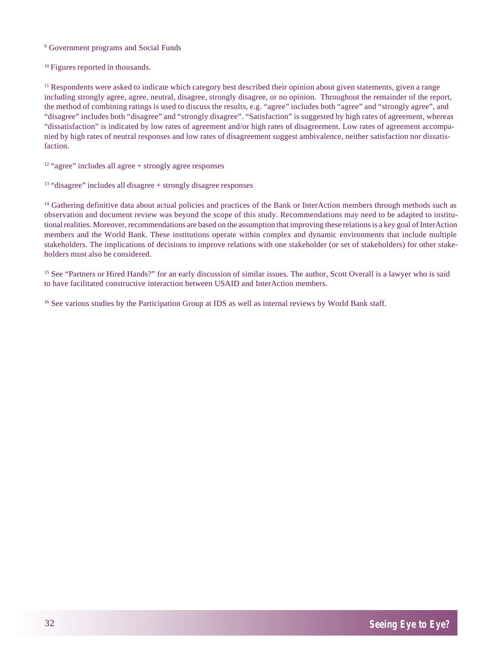9 Government programs and Social Funds

<sup>10</sup> Figures reported in thousands.

 $<sup>11</sup>$  Respondents were asked to indicate which category best described their opinion about given statements, given a range</sup> including strongly agree, agree, neutral, disagree, strongly disagree, or no opinion. Throughout the remainder of the report, the method of combining ratings is used to discuss the results, e.g. "agree" includes both "agree" and "strongly agree", and "disagree" includes both "disagree" and "strongly disagree". "Satisfaction" is suggested by high rates of agreement, whereas "dissatisfaction" is indicated by low rates of agreement and/or high rates of disagreement. Low rates of agreement accompanied by high rates of neutral responses and low rates of disagreement suggest ambivalence, neither satisfaction nor dissatisfaction.

<sup>12</sup> "agree" includes all agree + strongly agree responses

<sup>14</sup> Gathering definitive data about actual policies and practices of the Bank or InterAction members through methods such as observation and document review was beyond the scope of this study. Recommendations may need to be adapted to institutional realities. Moreover, recommendations are based on the assumption that improving these relations is a key goal of InterAction members and the World Bank. These institutions operate within complex and dynamic environments that include multiple stakeholders. The implications of decisions to improve relations with one stakeholder (or set of stakeholders) for other stakeholders must also be considered.

<sup>15</sup> See "Partners or Hired Hands?" for an early discussion of similar issues. The author, Scott Overall is a lawyer who is said to have facilitated constructive interaction between USAID and InterAction members.

<sup>16</sup> See various studies by the Participation Group at IDS as well as internal reviews by World Bank staff.

<sup>&</sup>lt;sup>13</sup> "disagree" includes all disagree + strongly disagree responses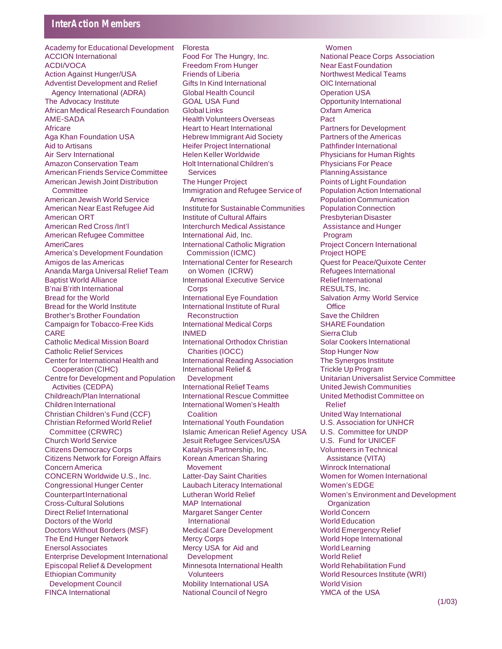Academy for Educational Development ACCION International ACDI/VOCA Action Against Hunger/USA Adventist Development and Relief Agency International (ADRA) The Advocacy Institute African Medical Research Foundation AME-SADA **Africare** Aga Khan Foundation USA Aid to Artisans Air Serv International Amazon Conservation Team American Friends Service Committee American Jewish Joint Distribution **Committee** American Jewish World Service American Near East Refugee Aid American ORT American Red Cross /Int'l American Refugee Committee **AmeriCares** America's Development Foundation Amigos de las Americas Ananda Marga Universal Relief Team Baptist World Alliance B'nai B'rith International Bread for the World Bread for the World Institute Brother's Brother Foundation Campaign for Tobacco-Free Kids CARE Catholic Medical Mission Board Catholic Relief Services Center for International Health and Cooperation (CIHC) Centre for Development and Population Activities (CEDPA) Childreach/Plan International Children International Christian Children's Fund (CCF) Christian Reformed World Relief Committee (CRWRC) Church World Service Citizens Democracy Corps Citizens Network for Foreign Affairs Concern America CONCERN Worldwide U.S., Inc. Congressional Hunger Center Counterpart International Cross-Cultural Solutions Direct Relief International Doctors of the World Doctors Without Borders (MSF) The End Hunger Network Enersol Associates Enterprise Development International Episcopal Relief & Development Ethiopian Community Development Council FINCA International

Floresta Food For The Hungry, Inc. Freedom From Hunger Friends of Liberia Gifts In Kind International Global Health Council GOAL USA Fund Global Links Health Volunteers Overseas Heart to Heart International Hebrew Immigrant Aid Society Heifer Project International Helen Keller Worldwide Holt International Children's **Services** The Hunger Project Immigration and Refugee Service of America Institute for Sustainable Communities Institute of Cultural Affairs Interchurch Medical Assistance International Aid, Inc. International Catholic Migration Commission (ICMC) International Center for Research on Women (ICRW) International Executive Service **Corps** International Eye Foundation International Institute of Rural **Reconstruction** International Medical Corps INMED International Orthodox Christian Charities (IOCC) International Reading Association International Relief & Development International Relief Teams International Rescue Committee International Women's Health Coalition International Youth Foundation Islamic American Relief Agency USA Jesuit Refugee Services/USA Katalysis Partnership, Inc. Korean American Sharing Movement Latter-Day Saint Charities Laubach Literacy International Lutheran World Relief MAP International Margaret Sanger Center International Medical Care Development Mercy Corps Mercy USA for Aid and Development Minnesota International Health Volunteers Mobility International USA National Council of Negro

 Women National Peace Corps Association Near East Foundation Northwest Medical Teams OIC International Operation USA Opportunity International Oxfam America Pact Partners for Development Partners of the Americas Pathfinder International Physicians for Human Rights Physicians For Peace Planning Assistance Points of Light Foundation Population Action International Population Communication Population Connection Presbyterian Disaster Assistance and Hunger Program Project Concern International Project HOPE Quest for Peace/Quixote Center Refugees International Relief International RESULTS, Inc. Salvation Army World Service **Office** Save the Children SHARE Foundation Sierra Club Solar Cookers International Stop Hunger Now The Synergos Institute Trickle Up Program Unitarian Universalist Service Committee United Jewish Communities United Methodist Committee on Relief United Way International U.S. Association for UNHCR U.S. Committee for UNDP U.S. Fund for UNICEF Volunteers in Technical Assistance (VITA) Winrock International Women for Women International Women's EDGE Women's Environment and Development **Organization** World Concern World Education World Emergency Relief World Hope International World Learning World Relief World Rehabilitation Fund World Resources Institute (WRI) World Vision YMCA of the USA